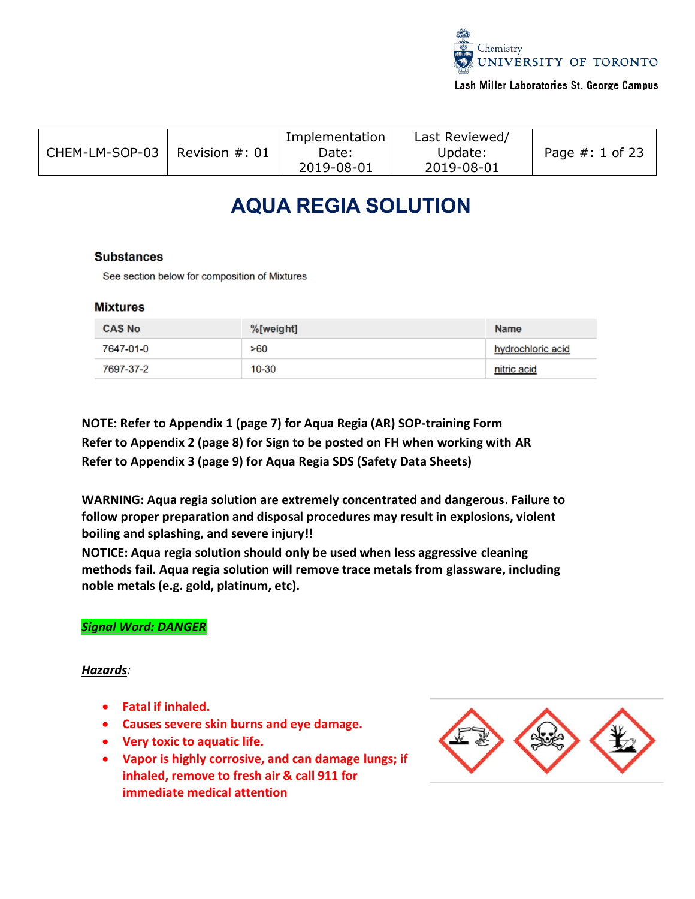

# Lash Miller Laboratories St. George Campus

| CHEM-LM-SOP-03 | Revision $\#$ : 01 | Implementation<br>Date:<br>2019-08-01 | Last Reviewed/<br>Update:<br>2019-08-01 | Page $#: 1$ of 23 |
|----------------|--------------------|---------------------------------------|-----------------------------------------|-------------------|
|                |                    |                                       |                                         |                   |

# **AQUA REGIA SOLUTION**

# **Substances**

See section below for composition of Mixtures

# **Mixtures**

| <b>CAS No</b> | %[weight] | <b>Name</b>       |
|---------------|-----------|-------------------|
| 7647-01-0     | >60       | hydrochloric acid |
| 7697-37-2     | 10-30     | nitric acid       |

**NOTE: Refer to Appendix 1 (page 7) for Aqua Regia (AR) SOP-training Form Refer to Appendix 2 (page 8) for Sign to be posted on FH when working with AR Refer to Appendix 3 (page 9) for Aqua Regia SDS (Safety Data Sheets)**

**WARNING: Aqua regia solution are extremely concentrated and dangerous. Failure to follow proper preparation and disposal procedures may result in explosions, violent boiling and splashing, and severe injury!!**

**NOTICE: Aqua regia solution should only be used when less aggressive cleaning methods fail. Aqua regia solution will remove trace metals from glassware, including noble metals (e.g. gold, platinum, etc).**

# *Signal Word: DANGER*

# *Hazards:*

- **Fatal if inhaled.**
- **Causes severe skin burns and eye damage.**
- **Very toxic to aquatic life.**
- **Vapor is highly corrosive, and can damage lungs; if inhaled, remove to fresh air & call 911 for immediate medical attention**

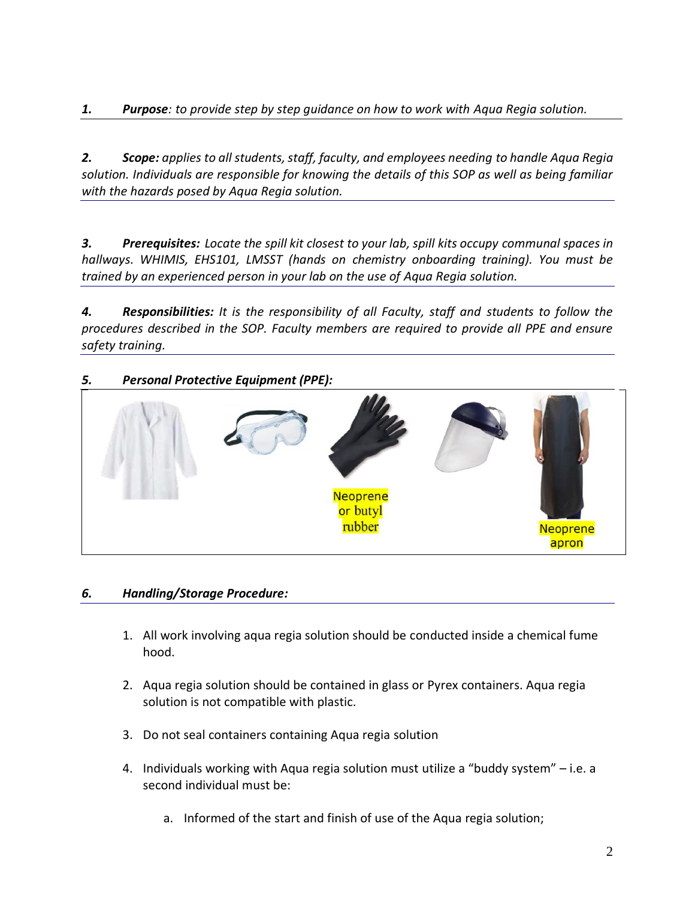*2. Scope: applies to all students, staff, faculty, and employees needing to handle Aqua Regia solution. Individuals are responsible for knowing the details of this SOP as well as being familiar with the hazards posed by Aqua Regia solution.*

*3. Prerequisites: Locate the spill kit closest to your lab, spill kits occupy communal spaces in hallways. WHIMIS, EHS101, LMSST (hands on chemistry onboarding training). You must be trained by an experienced person in your lab on the use of Aqua Regia solution.*

*4. Responsibilities: It is the responsibility of all Faculty, staff and students to follow the procedures described in the SOP. Faculty members are required to provide all PPE and ensure safety training.*

# *5. Personal Protective Equipment (PPE):*



# *6. Handling/Storage Procedure:*

- 1. All work involving aqua regia solution should be conducted inside a chemical fume hood.
- 2. Aqua regia solution should be contained in glass or Pyrex containers. Aqua regia solution is not compatible with plastic.
- 3. Do not seal containers containing Aqua regia solution
- 4. Individuals working with Aqua regia solution must utilize a "buddy system" i.e. a second individual must be:
	- a. Informed of the start and finish of use of the Aqua regia solution;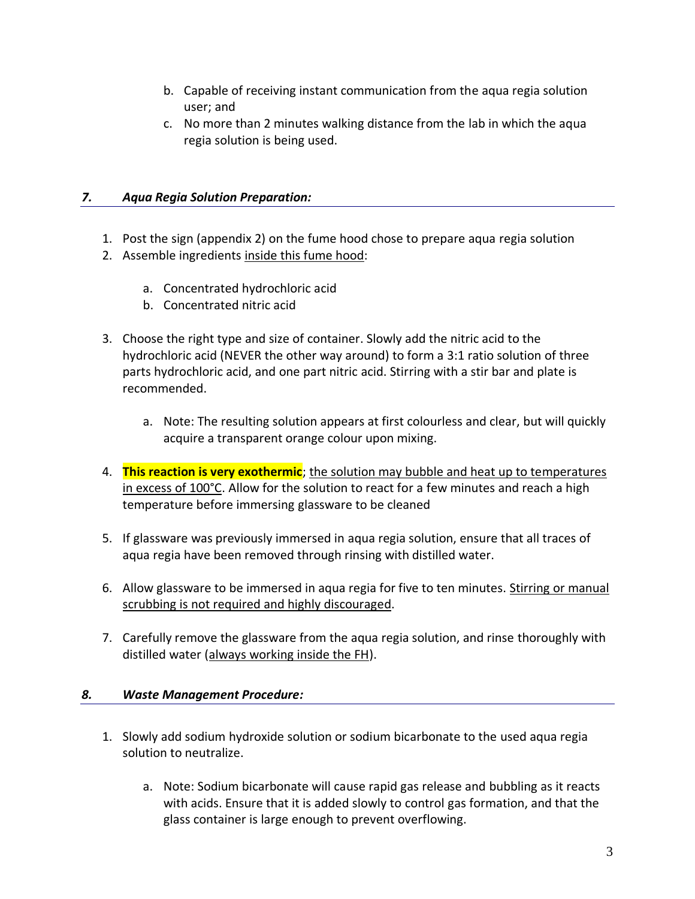- b. Capable of receiving instant communication from the aqua regia solution user; and
- c. No more than 2 minutes walking distance from the lab in which the aqua regia solution is being used.

# *7. Aqua Regia Solution Preparation:*

- 1. Post the sign (appendix 2) on the fume hood chose to prepare aqua regia solution
- 2. Assemble ingredients inside this fume hood:
	- a. Concentrated hydrochloric acid
	- b. Concentrated nitric acid
- 3. Choose the right type and size of container. Slowly add the nitric acid to the hydrochloric acid (NEVER the other way around) to form a 3:1 ratio solution of three parts hydrochloric acid, and one part nitric acid. Stirring with a stir bar and plate is recommended.
	- a. Note: The resulting solution appears at first colourless and clear, but will quickly acquire a transparent orange colour upon mixing.
- 4. **This reaction is very exothermic**; the solution may bubble and heat up to temperatures in excess of 100°C. Allow for the solution to react for a few minutes and reach a high temperature before immersing glassware to be cleaned
- 5. If glassware was previously immersed in aqua regia solution, ensure that all traces of aqua regia have been removed through rinsing with distilled water.
- 6. Allow glassware to be immersed in aqua regia for five to ten minutes. Stirring or manual scrubbing is not required and highly discouraged.
- 7. Carefully remove the glassware from the aqua regia solution, and rinse thoroughly with distilled water (always working inside the FH).

# *8. Waste Management Procedure:*

- 1. Slowly add sodium hydroxide solution or sodium bicarbonate to the used aqua regia solution to neutralize.
	- a. Note: Sodium bicarbonate will cause rapid gas release and bubbling as it reacts with acids. Ensure that it is added slowly to control gas formation, and that the glass container is large enough to prevent overflowing.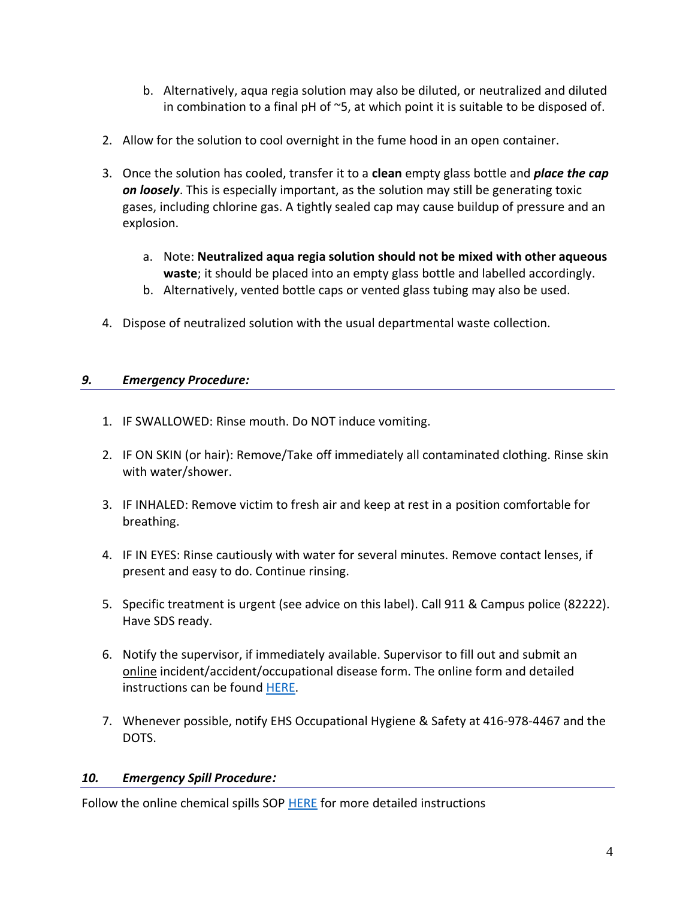- b. Alternatively, aqua regia solution may also be diluted, or neutralized and diluted in combination to a final pH of  $\sim$ 5, at which point it is suitable to be disposed of.
- 2. Allow for the solution to cool overnight in the fume hood in an open container.
- 3. Once the solution has cooled, transfer it to a **clean** empty glass bottle and *place the cap on loosely*. This is especially important, as the solution may still be generating toxic gases, including chlorine gas. A tightly sealed cap may cause buildup of pressure and an explosion.
	- a. Note: **Neutralized aqua regia solution should not be mixed with other aqueous waste**; it should be placed into an empty glass bottle and labelled accordingly.
	- b. Alternatively, vented bottle caps or vented glass tubing may also be used.
- 4. Dispose of neutralized solution with the usual departmental waste collection.

# *9. Emergency Procedure:*

- 1. IF SWALLOWED: Rinse mouth. Do NOT induce vomiting.
- 2. IF ON SKIN (or hair): Remove/Take off immediately all contaminated clothing. Rinse skin with water/shower.
- 3. IF INHALED: Remove victim to fresh air and keep at rest in a position comfortable for breathing.
- 4. IF IN EYES: Rinse cautiously with water for several minutes. Remove contact lenses, if present and easy to do. Continue rinsing.
- 5. Specific treatment is urgent (see advice on this label). Call 911 & Campus police (82222). Have SDS ready.
- 6. Notify the supervisor, if immediately available. Supervisor to fill out and submit an online incident/accident/occupational disease form. The online form and detailed instructions can be found [HERE.](http://www.ehs.utoronto.ca/resources/wcbproc.htm)
- 7. Whenever possible, notify EHS Occupational Hygiene & Safety at 416-978-4467 and the DOTS.

# *10. Emergency Spill Procedure:*

Follow the online chemical spills SOP [HERE](https://www.chemistry.utoronto.ca/sites/chemistry.utoronto.ca/files/LM-SOP-004-Chemical%20Spills_0.pdf) for more detailed instructions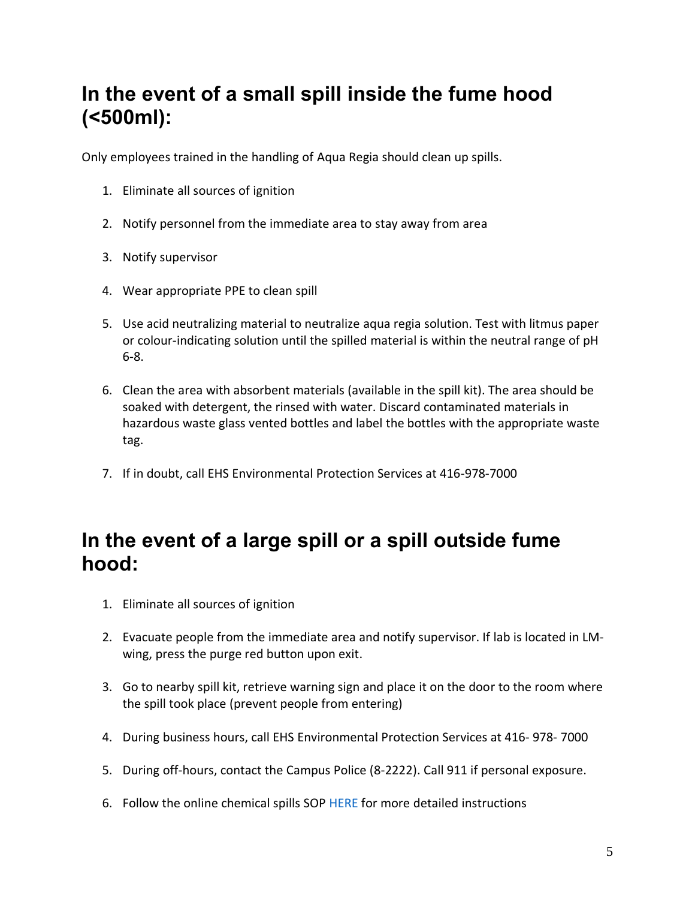# **In the event of a small spill inside the fume hood (<500ml):**

Only employees trained in the handling of Aqua Regia should clean up spills.

- 1. Eliminate all sources of ignition
- 2. Notify personnel from the immediate area to stay away from area
- 3. Notify supervisor
- 4. Wear appropriate PPE to clean spill
- 5. Use acid neutralizing material to neutralize aqua regia solution. Test with litmus paper or colour-indicating solution until the spilled material is within the neutral range of pH 6-8.
- 6. Clean the area with absorbent materials (available in the spill kit). The area should be soaked with detergent, the rinsed with water. Discard contaminated materials in hazardous waste glass vented bottles and label the bottles with the appropriate waste tag.
- 7. If in doubt, call EHS Environmental Protection Services at 416-978-7000

# **In the event of a large spill or a spill outside fume hood:**

- 1. Eliminate all sources of ignition
- 2. Evacuate people from the immediate area and notify supervisor. If lab is located in LMwing, press the purge red button upon exit.
- 3. Go to nearby spill kit, retrieve warning sign and place it on the door to the room where the spill took place (prevent people from entering)
- 4. During business hours, call EHS Environmental Protection Services at 416- 978- 7000
- 5. During off-hours, contact the Campus Police (8-2222). Call 911 if personal exposure.
- 6. Follow the online chemical spills SOP HERE for more detailed instructions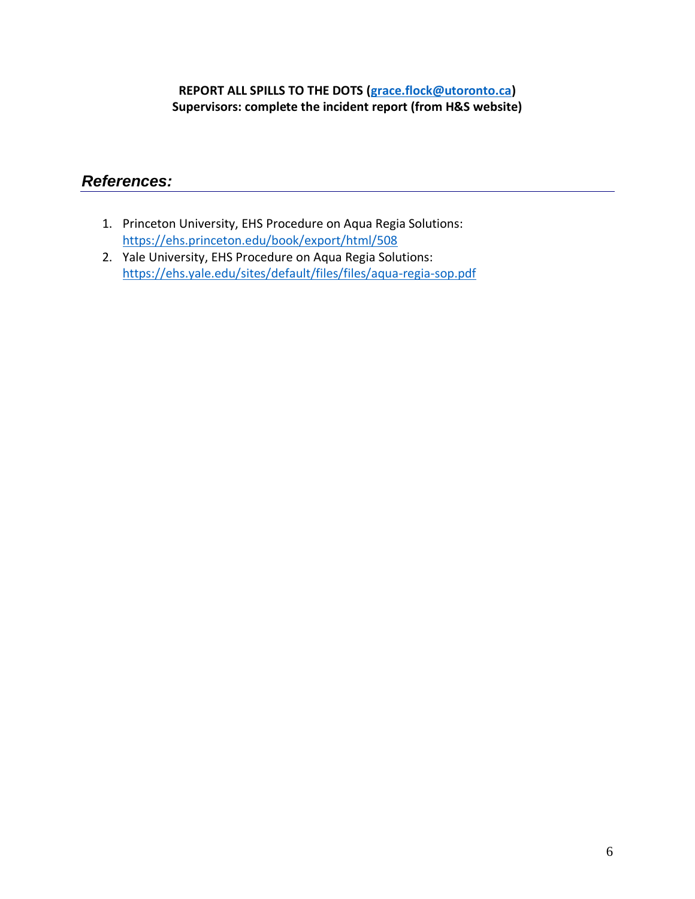# **REPORT ALL SPILLS TO THE DOTS [\(grace.flock@utoronto.ca\)](mailto:grace.flock@utoronto.ca) Supervisors: complete the incident report (from H&S website)**

# *References:*

- 1. Princeton University, EHS Procedure on Aqua Regia Solutions: <https://ehs.princeton.edu/book/export/html/508>
- 2. Yale University, EHS Procedure on Aqua Regia Solutions: <https://ehs.yale.edu/sites/default/files/files/aqua-regia-sop.pdf>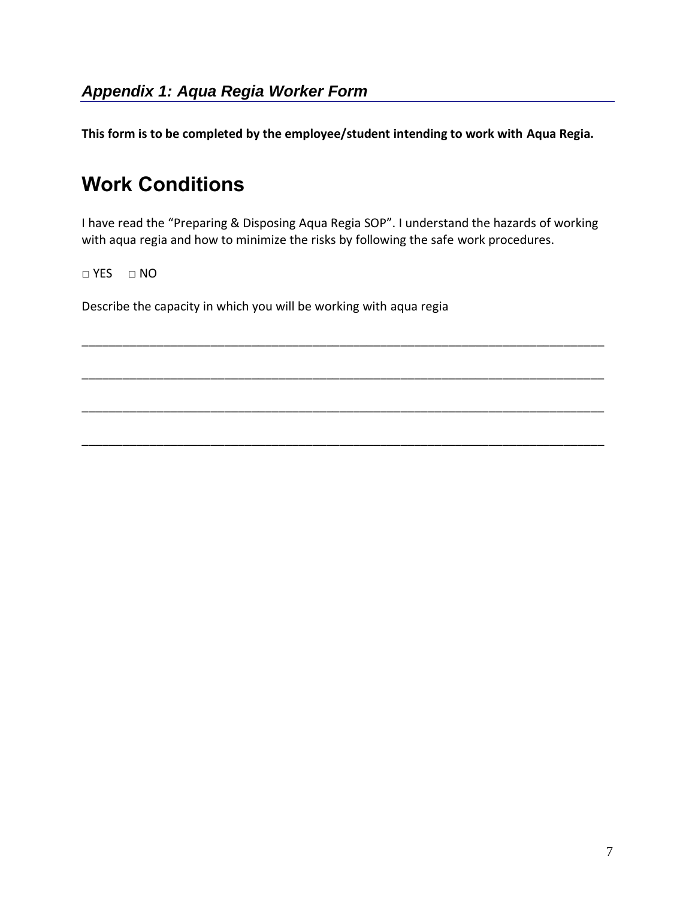**This form is to be completed by the employee/student intending to work with Aqua Regia.**

# **Work Conditions**

I have read the "Preparing & Disposing Aqua Regia SOP". I understand the hazards of working with aqua regia and how to minimize the risks by following the safe work procedures.

\_\_\_\_\_\_\_\_\_\_\_\_\_\_\_\_\_\_\_\_\_\_\_\_\_\_\_\_\_\_\_\_\_\_\_\_\_\_\_\_\_\_\_\_\_\_\_\_\_\_\_\_\_\_\_\_\_\_\_\_\_\_\_\_\_\_\_\_\_\_\_\_\_\_\_\_\_

\_\_\_\_\_\_\_\_\_\_\_\_\_\_\_\_\_\_\_\_\_\_\_\_\_\_\_\_\_\_\_\_\_\_\_\_\_\_\_\_\_\_\_\_\_\_\_\_\_\_\_\_\_\_\_\_\_\_\_\_\_\_\_\_\_\_\_\_\_\_\_\_\_\_\_\_\_

\_\_\_\_\_\_\_\_\_\_\_\_\_\_\_\_\_\_\_\_\_\_\_\_\_\_\_\_\_\_\_\_\_\_\_\_\_\_\_\_\_\_\_\_\_\_\_\_\_\_\_\_\_\_\_\_\_\_\_\_\_\_\_\_\_\_\_\_\_\_\_\_\_\_\_\_\_

\_\_\_\_\_\_\_\_\_\_\_\_\_\_\_\_\_\_\_\_\_\_\_\_\_\_\_\_\_\_\_\_\_\_\_\_\_\_\_\_\_\_\_\_\_\_\_\_\_\_\_\_\_\_\_\_\_\_\_\_\_\_\_\_\_\_\_\_\_\_\_\_\_\_\_\_\_

□ YES □ NO

Describe the capacity in which you will be working with aqua regia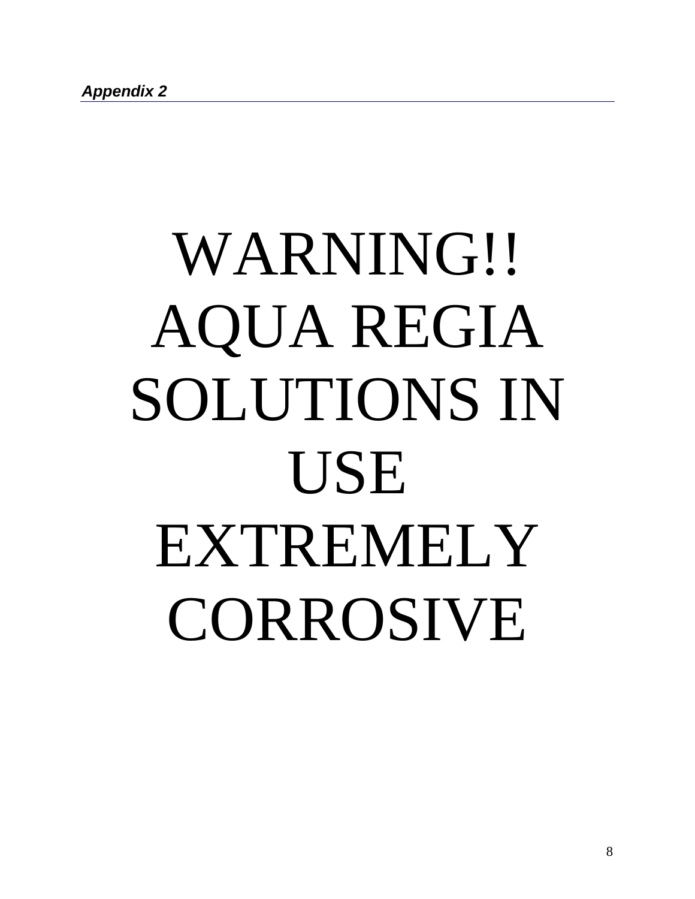# WARNING!! AQUA REGIA SOLUTIONS IN USE EXTREMELY **CORROSIVE**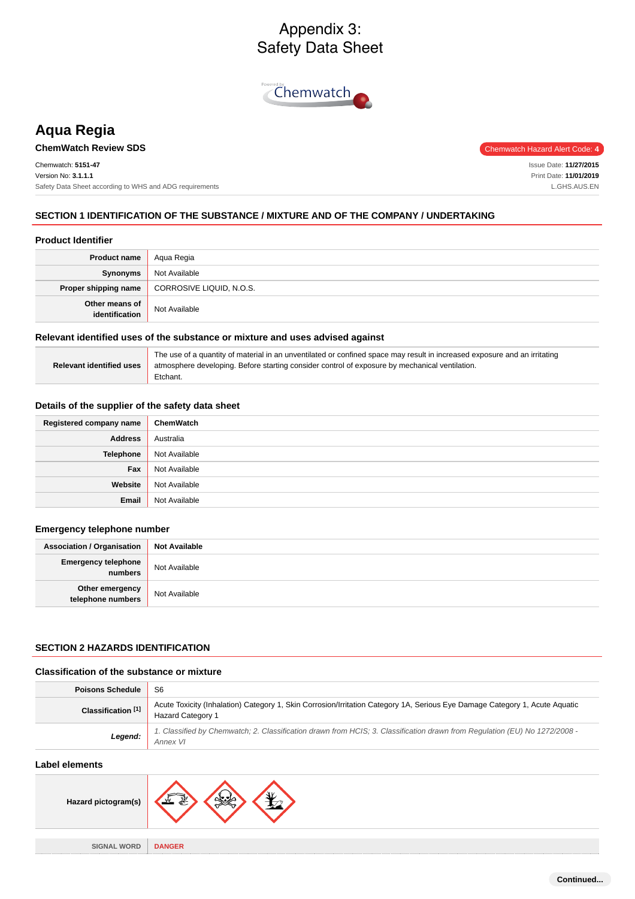# Appendix 3: Safety Data Sheet



# **Aqua Regia**

# **ChemWatch Review SDS** Chemwatch Hazard Alert Code: 4

Chemwatch: **5151-47** Version No: **3.1.1.1** Safety Data Sheet according to WHS and ADG requirements

Issue Date: **11/27/2015** Print Date: **11/01/2019** L.GHS.AUS.EN

# **SECTION 1 IDENTIFICATION OF THE SUBSTANCE / MIXTURE AND OF THE COMPANY / UNDERTAKING**

#### **Product Identifier**

| <b>Product name</b>              | Agua Regia               |
|----------------------------------|--------------------------|
| Synonyms                         | Not Available            |
| Proper shipping name             | CORROSIVE LIQUID, N.O.S. |
| Other means of<br>identification | Not Available            |

#### **Relevant identified uses of the substance or mixture and uses advised against**

| Relevant identified uses | The use of a quantity of material in an unventilated or confined space may result in increased exposure and an irritating<br>atmosphere developing. Before starting consider control of exposure by mechanical ventilation.<br>Etchant. |
|--------------------------|-----------------------------------------------------------------------------------------------------------------------------------------------------------------------------------------------------------------------------------------|
|                          |                                                                                                                                                                                                                                         |

#### **Details of the supplier of the safety data sheet**

| Registered company name | ChemWatch     |
|-------------------------|---------------|
| <b>Address</b>          | Australia     |
| Telephone               | Not Available |
| Fax                     | Not Available |
| Website                 | Not Available |
| Email                   | Not Available |

# **Emergency telephone number**

| <b>Association / Organisation</b>     | <b>Not Available</b> |
|---------------------------------------|----------------------|
| <b>Emergency telephone</b><br>numbers | Not Available        |
| Other emergency<br>telephone numbers  | Not Available        |

#### **SECTION 2 HAZARDS IDENTIFICATION**

## **Classification of the substance or mixture**

| <b>Poisons Schedule</b> | S6                                                                                                                                                      |
|-------------------------|---------------------------------------------------------------------------------------------------------------------------------------------------------|
| Classification [1]      | Acute Toxicity (Inhalation) Category 1, Skin Corrosion/Irritation Category 1A, Serious Eye Damage Category 1, Acute Aquatic<br><b>Hazard Category 1</b> |
| Legend:                 | 1. Classified by Chemwatch; 2. Classification drawn from HCIS; 3. Classification drawn from Regulation (EU) No 1272/2008 -<br>Annex VI                  |

# **Label elements**

| Hazard pictogram(s) |               |
|---------------------|---------------|
|                     |               |
| <b>SIGNAL WORD</b>  | <b>DANGER</b> |
|                     |               |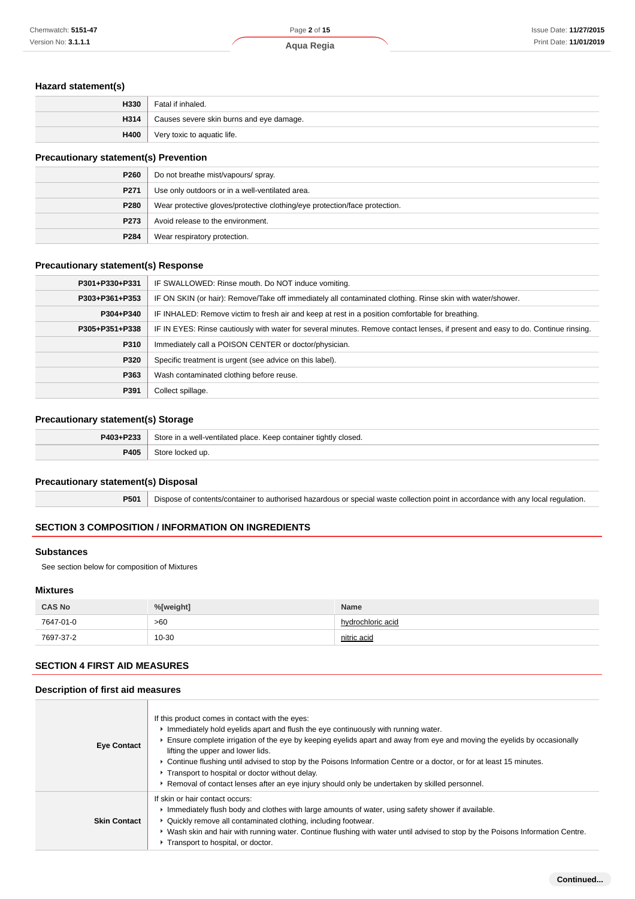#### **Hazard statement(s)**

| H330 | Fatal if inhaled.                        |
|------|------------------------------------------|
| H314 | Causes severe skin burns and eye damage. |
| H400 | Very toxic to aquatic life.              |

# **Precautionary statement(s) Prevention**

| P260 | Do not breathe mist/vapours/ spray.                                        |
|------|----------------------------------------------------------------------------|
| P271 | Use only outdoors or in a well-ventilated area.                            |
| P280 | Wear protective gloves/protective clothing/eye protection/face protection. |
| P273 | Avoid release to the environment.                                          |
| P284 | Wear respiratory protection.                                               |

## **Precautionary statement(s) Response**

| P301+P330+P331 | IF SWALLOWED: Rinse mouth. Do NOT induce vomiting.                                                                               |
|----------------|----------------------------------------------------------------------------------------------------------------------------------|
| P303+P361+P353 | IF ON SKIN (or hair): Remove/Take off immediately all contaminated clothing. Rinse skin with water/shower.                       |
| P304+P340      | IF INHALED: Remove victim to fresh air and keep at rest in a position comfortable for breathing.                                 |
| P305+P351+P338 | IF IN EYES: Rinse cautiously with water for several minutes. Remove contact lenses, if present and easy to do. Continue rinsing. |
| P310           | Immediately call a POISON CENTER or doctor/physician.                                                                            |
| P320           | Specific treatment is urgent (see advice on this label).                                                                         |
| P363           | Wash contaminated clothing before reuse.                                                                                         |
| P391           | Collect spillage.                                                                                                                |

# **Precautionary statement(s) Storage**

| P403+P233 | Store in a well-ventilated place. Keep container tightly closed. |
|-----------|------------------------------------------------------------------|
| P405      | Store locked up.                                                 |

#### **Precautionary statement(s) Disposal**

| <b>P501</b> Dispose of contents/container to authorised hazardous or special waste collection point in accordance with any local regulation. |
|----------------------------------------------------------------------------------------------------------------------------------------------|

# **SECTION 3 COMPOSITION / INFORMATION ON INGREDIENTS**

#### **Substances**

See section below for composition of Mixtures

## **Mixtures**

| <b>CAS No</b> | %[weight] | <b>Name</b>       |
|---------------|-----------|-------------------|
| 7647-01-0     | >60       | hydrochloric acid |
| 7697-37-2     | 10-30     | nitric acid       |

## **SECTION 4 FIRST AID MEASURES**

## **Description of first aid measures**

| <b>Eye Contact</b>  | If this product comes in contact with the eyes:<br>Immediately hold eyelids apart and flush the eye continuously with running water.<br>Ensure complete irrigation of the eye by keeping eyelids apart and away from eye and moving the eyelids by occasionally<br>lifting the upper and lower lids.<br>► Continue flushing until advised to stop by the Poisons Information Centre or a doctor, or for at least 15 minutes.<br>Transport to hospital or doctor without delay.<br>▶ Removal of contact lenses after an eye injury should only be undertaken by skilled personnel. |
|---------------------|-----------------------------------------------------------------------------------------------------------------------------------------------------------------------------------------------------------------------------------------------------------------------------------------------------------------------------------------------------------------------------------------------------------------------------------------------------------------------------------------------------------------------------------------------------------------------------------|
| <b>Skin Contact</b> | If skin or hair contact occurs:<br>Immediately flush body and clothes with large amounts of water, using safety shower if available.<br>• Quickly remove all contaminated clothing, including footwear.<br>▶ Wash skin and hair with running water. Continue flushing with water until advised to stop by the Poisons Information Centre.<br>Transport to hospital, or doctor.                                                                                                                                                                                                    |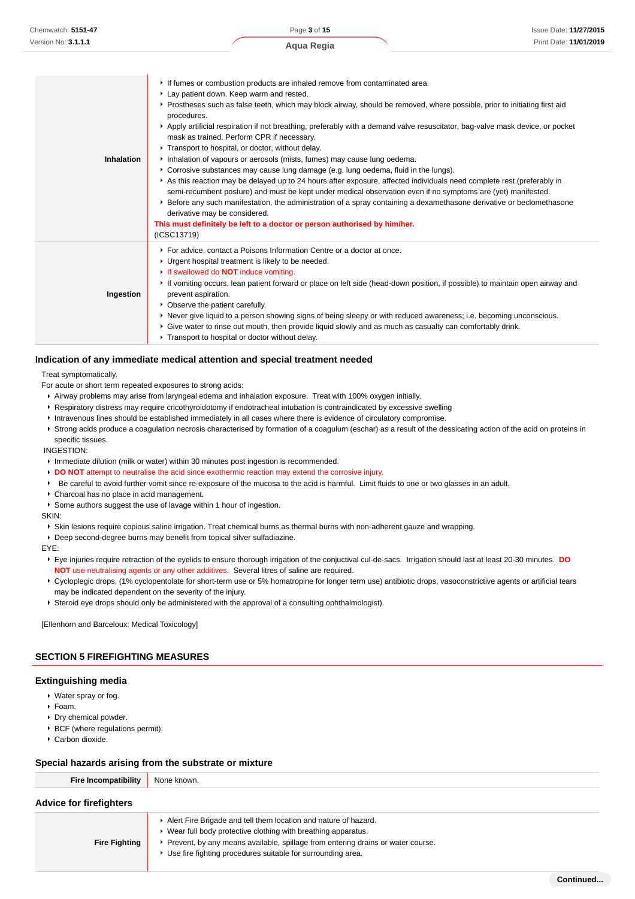| Chemwatch: 5151-47  | Page 3 of 15                                                                                                                                                                                                                                                                                                                                                                                                                                                                                                                                                                                                                                                                                                                                                                                                                                                                                                                                                                                                                                                                                                                                                            | <b>Issue Date: 11/27/2015</b> |
|---------------------|-------------------------------------------------------------------------------------------------------------------------------------------------------------------------------------------------------------------------------------------------------------------------------------------------------------------------------------------------------------------------------------------------------------------------------------------------------------------------------------------------------------------------------------------------------------------------------------------------------------------------------------------------------------------------------------------------------------------------------------------------------------------------------------------------------------------------------------------------------------------------------------------------------------------------------------------------------------------------------------------------------------------------------------------------------------------------------------------------------------------------------------------------------------------------|-------------------------------|
| Version No: 3.1.1.1 | Aqua Regia                                                                                                                                                                                                                                                                                                                                                                                                                                                                                                                                                                                                                                                                                                                                                                                                                                                                                                                                                                                                                                                                                                                                                              | Print Date: 11/01/2019        |
| <b>Inhalation</b>   | If fumes or combustion products are inhaled remove from contaminated area.<br>Lay patient down. Keep warm and rested.<br>▶ Prostheses such as false teeth, which may block airway, should be removed, where possible, prior to initiating first aid<br>procedures.<br>Apply artificial respiration if not breathing, preferably with a demand valve resuscitator, bag-valve mask device, or pocket<br>mask as trained. Perform CPR if necessary.<br>Transport to hospital, or doctor, without delay.<br>Inhalation of vapours or aerosols (mists, fumes) may cause lung oedema.<br>► Corrosive substances may cause lung damage (e.g. lung oedema, fluid in the lungs).<br>As this reaction may be delayed up to 24 hours after exposure, affected individuals need complete rest (preferably in<br>semi-recumbent posture) and must be kept under medical observation even if no symptoms are (yet) manifested.<br>▶ Before any such manifestation, the administration of a spray containing a dexamethasone derivative or beclomethasone<br>derivative may be considered.<br>This must definitely be left to a doctor or person authorised by him/her.<br>(ICSC13719) |                               |
| Ingestion           | For advice, contact a Poisons Information Centre or a doctor at once.<br>• Urgent hospital treatment is likely to be needed.<br>If swallowed do <b>NOT</b> induce vomiting.<br>If vomiting occurs, lean patient forward or place on left side (head-down position, if possible) to maintain open airway and<br>prevent aspiration.<br>• Observe the patient carefully.<br>▶ Never give liquid to a person showing signs of being sleepy or with reduced awareness; i.e. becoming unconscious.<br>▶ Give water to rinse out mouth, then provide liquid slowly and as much as casualty can comfortably drink.<br>Transport to hospital or doctor without delay.                                                                                                                                                                                                                                                                                                                                                                                                                                                                                                           |                               |

#### **Indication of any immediate medical attention and special treatment needed**

Treat symptomatically.

For acute or short term repeated exposures to strong acids:

- Airway problems may arise from laryngeal edema and inhalation exposure. Treat with 100% oxygen initially.
- Respiratory distress may require cricothyroidotomy if endotracheal intubation is contraindicated by excessive swelling
- Intravenous lines should be established immediately in all cases where there is evidence of circulatory compromise.
- Strong acids produce a coagulation necrosis characterised by formation of a coagulum (eschar) as a result of the dessicating action of the acid on proteins in specific tissues.

INGESTION:

- **Immediate dilution (milk or water) within 30 minutes post ingestion is recommended.**
- **DO NOT** attempt to neutralise the acid since exothermic reaction may extend the corrosive injury.
- Be careful to avoid further vomit since re-exposure of the mucosa to the acid is harmful. Limit fluids to one or two glasses in an adult.
- Charcoal has no place in acid management.
- Some authors suggest the use of lavage within 1 hour of ingestion.

SKIN:

- Skin lesions require copious saline irrigation. Treat chemical burns as thermal burns with non-adherent gauze and wrapping.
- Deep second-degree burns may benefit from topical silver sulfadiazine.

EYE:

- Eye injuries require retraction of the eyelids to ensure thorough irrigation of the conjuctival cul-de-sacs. Irrigation should last at least 20-30 minutes. **DO NOT** use neutralising agents or any other additives. Several litres of saline are required.
- ▶ Cycloplegic drops, (1% cyclopentolate for short-term use or 5% homatropine for longer term use) antibiotic drops, vasoconstrictive agents or artificial tears may be indicated dependent on the severity of the injury.
- Steroid eye drops should only be administered with the approval of a consulting ophthalmologist).

[Ellenhorn and Barceloux: Medical Toxicology]

#### **SECTION 5 FIREFIGHTING MEASURES**

#### **Extinguishing media**

- Water spray or fog.
- Foam.
- Dry chemical powder.
- BCF (where regulations permit).
- Carbon dioxide.

#### **Special hazards arising from the substrate or mixture**

| <b>Fire Incompatibility</b>    | None known.                                                                       |
|--------------------------------|-----------------------------------------------------------------------------------|
| <b>Advice for firefighters</b> |                                                                                   |
|                                | Alert Fire Brigade and tell them location and nature of hazard.                   |
|                                | ▶ Wear full body protective clothing with breathing apparatus.                    |
| <b>Fire Fighting</b>           | ▶ Prevent, by any means available, spillage from entering drains or water course. |
|                                | ▶ Use fire fighting procedures suitable for surrounding area.                     |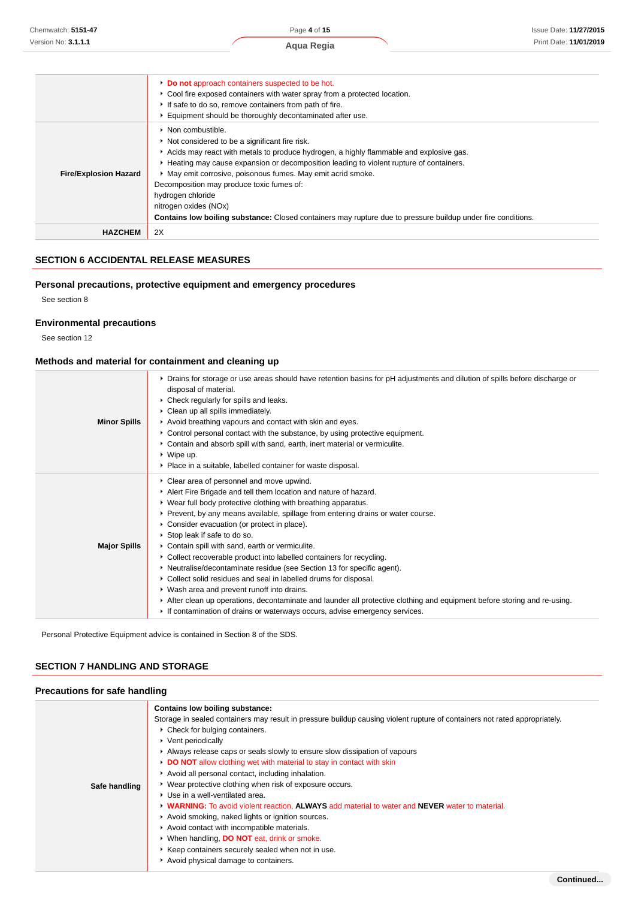| <b>Contains low boiling substance:</b> Closed containers may rupture due to pressure buildup under fire conditions. |
|---------------------------------------------------------------------------------------------------------------------|
|                                                                                                                     |
|                                                                                                                     |

# **SECTION 6 ACCIDENTAL RELEASE MEASURES**

#### **Personal precautions, protective equipment and emergency procedures**

See section 8

# **Environmental precautions**

See section 12

## **Methods and material for containment and cleaning up**

| <b>Minor Spills</b> | ▶ Drains for storage or use areas should have retention basins for pH adjustments and dilution of spills before discharge or<br>disposal of material.<br>Check regularly for spills and leaks.<br>• Clean up all spills immediately.<br>Avoid breathing vapours and contact with skin and eyes.<br>► Control personal contact with the substance, by using protective equipment.<br>Contain and absorb spill with sand, earth, inert material or vermiculite.<br>$\cdot$ Wipe up.<br>• Place in a suitable, labelled container for waste disposal.                                                                                                                                                                                                                                                                                                                                   |
|---------------------|--------------------------------------------------------------------------------------------------------------------------------------------------------------------------------------------------------------------------------------------------------------------------------------------------------------------------------------------------------------------------------------------------------------------------------------------------------------------------------------------------------------------------------------------------------------------------------------------------------------------------------------------------------------------------------------------------------------------------------------------------------------------------------------------------------------------------------------------------------------------------------------|
| <b>Major Spills</b> | • Clear area of personnel and move upwind.<br>Alert Fire Brigade and tell them location and nature of hazard.<br>▶ Wear full body protective clothing with breathing apparatus.<br>► Prevent, by any means available, spillage from entering drains or water course.<br>Consider evacuation (or protect in place).<br>Stop leak if safe to do so.<br>Contain spill with sand, earth or vermiculite.<br>• Collect recoverable product into labelled containers for recycling.<br>• Neutralise/decontaminate residue (see Section 13 for specific agent).<br>▶ Collect solid residues and seal in labelled drums for disposal.<br>• Wash area and prevent runoff into drains.<br>After clean up operations, decontaminate and launder all protective clothing and equipment before storing and re-using.<br>If contamination of drains or waterways occurs, advise emergency services. |

Personal Protective Equipment advice is contained in Section 8 of the SDS.

# **SECTION 7 HANDLING AND STORAGE**

# **Precautions for safe handling**

| Safe handling | Contains low boiling substance:<br>Storage in sealed containers may result in pressure buildup causing violent rupture of containers not rated appropriately.<br>• Check for bulging containers.<br>▶ Vent periodically<br>Always release caps or seals slowly to ensure slow dissipation of vapours<br>DO NOT allow clothing wet with material to stay in contact with skin<br>Avoid all personal contact, including inhalation.<br>• Wear protective clothing when risk of exposure occurs.<br>▶ Use in a well-ventilated area.<br>• WARNING: To avoid violent reaction, ALWAYS add material to water and NEVER water to material.<br>Avoid smoking, naked lights or ignition sources.<br>Avoid contact with incompatible materials.<br>• When handling, <b>DO NOT</b> eat, drink or smoke.<br>▶ Keep containers securely sealed when not in use.<br>Avoid physical damage to containers. |
|---------------|---------------------------------------------------------------------------------------------------------------------------------------------------------------------------------------------------------------------------------------------------------------------------------------------------------------------------------------------------------------------------------------------------------------------------------------------------------------------------------------------------------------------------------------------------------------------------------------------------------------------------------------------------------------------------------------------------------------------------------------------------------------------------------------------------------------------------------------------------------------------------------------------|
|               |                                                                                                                                                                                                                                                                                                                                                                                                                                                                                                                                                                                                                                                                                                                                                                                                                                                                                             |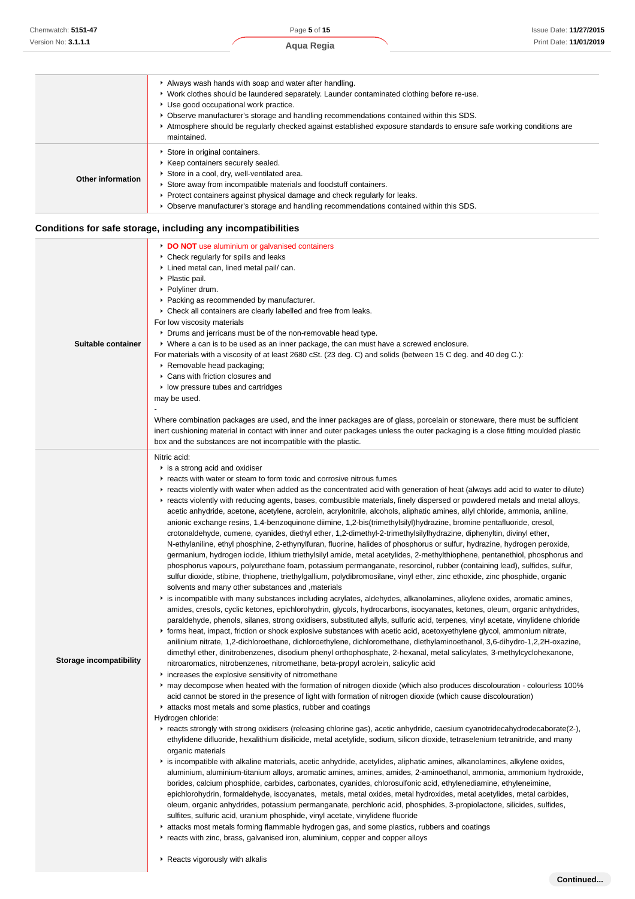|                   | maintained.                                                                                                                                                                                                                                                                                                                                                       |
|-------------------|-------------------------------------------------------------------------------------------------------------------------------------------------------------------------------------------------------------------------------------------------------------------------------------------------------------------------------------------------------------------|
| Other information | Store in original containers.<br>▶ Keep containers securely sealed.<br>Store in a cool, dry, well-ventilated area.<br>Store away from incompatible materials and foodstuff containers.<br>► Protect containers against physical damage and check regularly for leaks.<br>► Observe manufacturer's storage and handling recommendations contained within this SDS. |

## **Conditions for safe storage, including any incompatibilities**

| Suitable container             | <b>DO NOT</b> use aluminium or galvanised containers<br>• Check regularly for spills and leaks<br>Lined metal can, lined metal pail/ can.<br>▶ Plastic pail.<br>▶ Polyliner drum.<br>• Packing as recommended by manufacturer.<br>• Check all containers are clearly labelled and free from leaks.<br>For low viscosity materials<br>• Drums and jerricans must be of the non-removable head type.<br>▶ Where a can is to be used as an inner package, the can must have a screwed enclosure.<br>For materials with a viscosity of at least 2680 cSt. (23 deg. C) and solids (between 15 C deg. and 40 deg C.):<br>▶ Removable head packaging;<br>Cans with friction closures and<br>If low pressure tubes and cartridges<br>may be used.<br>Where combination packages are used, and the inner packages are of glass, porcelain or stoneware, there must be sufficient<br>inert cushioning material in contact with inner and outer packages unless the outer packaging is a close fitting moulded plastic<br>box and the substances are not incompatible with the plastic.                                                                                                                                                                                                                                                                                                                                                                                                                                                                                                                                                                                                                                                                                                                                                                                                                                                                                                                                                                                                                                                                                                                                                                                                                                                                                                                                                                                                                                                                                                                                                                                                                                                                                                                                                                                                                                                                                                                                                                                                                                                                                                                                                                                                                                                                                                                                                                                                                                                                                                                                                                                                                                                                                                                                                        |
|--------------------------------|-------------------------------------------------------------------------------------------------------------------------------------------------------------------------------------------------------------------------------------------------------------------------------------------------------------------------------------------------------------------------------------------------------------------------------------------------------------------------------------------------------------------------------------------------------------------------------------------------------------------------------------------------------------------------------------------------------------------------------------------------------------------------------------------------------------------------------------------------------------------------------------------------------------------------------------------------------------------------------------------------------------------------------------------------------------------------------------------------------------------------------------------------------------------------------------------------------------------------------------------------------------------------------------------------------------------------------------------------------------------------------------------------------------------------------------------------------------------------------------------------------------------------------------------------------------------------------------------------------------------------------------------------------------------------------------------------------------------------------------------------------------------------------------------------------------------------------------------------------------------------------------------------------------------------------------------------------------------------------------------------------------------------------------------------------------------------------------------------------------------------------------------------------------------------------------------------------------------------------------------------------------------------------------------------------------------------------------------------------------------------------------------------------------------------------------------------------------------------------------------------------------------------------------------------------------------------------------------------------------------------------------------------------------------------------------------------------------------------------------------------------------------------------------------------------------------------------------------------------------------------------------------------------------------------------------------------------------------------------------------------------------------------------------------------------------------------------------------------------------------------------------------------------------------------------------------------------------------------------------------------------------------------------------------------------------------------------------------------------------------------------------------------------------------------------------------------------------------------------------------------------------------------------------------------------------------------------------------------------------------------------------------------------------------------------------------------------------------------------------------------------------------------------------------------------------------------------------|
| <b>Storage incompatibility</b> | Nitric acid:<br>is a strong acid and oxidiser<br>reacts with water or steam to form toxic and corrosive nitrous fumes<br>Freacts violently with water when added as the concentrated acid with generation of heat (always add acid to water to dilute)<br>Freacts violently with reducing agents, bases, combustible materials, finely dispersed or powdered metals and metal alloys,<br>acetic anhydride, acetone, acetylene, acrolein, acrylonitrile, alcohols, aliphatic amines, allyl chloride, ammonia, aniline,<br>anionic exchange resins, 1,4-benzoquinone diimine, 1,2-bis(trimethylsilyl)hydrazine, bromine pentafluoride, cresol,<br>crotonaldehyde, cumene, cyanides, diethyl ether, 1,2-dimethyl-2-trimethylsilylhydrazine, diphenyltin, divinyl ether,<br>N-ethylaniline, ethyl phosphine, 2-ethynylfuran, fluorine, halides of phosphorus or sulfur, hydrazine, hydrogen peroxide,<br>germanium, hydrogen iodide, lithium triethylsilyl amide, metal acetylides, 2-methylthiophene, pentanethiol, phosphorus and<br>phosphorus vapours, polyurethane foam, potassium permanganate, resorcinol, rubber (containing lead), sulfides, sulfur,<br>sulfur dioxide, stibine, thiophene, triethylgallium, polydibromosilane, vinyl ether, zinc ethoxide, zinc phosphide, organic<br>solvents and many other substances and , materials<br>is incompatible with many substances including acrylates, aldehydes, alkanolamines, alkylene oxides, aromatic amines,<br>amides, cresols, cyclic ketones, epichlorohydrin, glycols, hydrocarbons, isocyanates, ketones, oleum, organic anhydrides,<br>paraldehyde, phenols, silanes, strong oxidisers, substituted allyls, sulfuric acid, terpenes, vinyl acetate, vinylidene chloride<br>► forms heat, impact, friction or shock explosive substances with acetic acid, acetoxyethylene glycol, ammonium nitrate,<br>anilinium nitrate, 1,2-dichloroethane, dichloroethylene, dichloromethane, diethylaminoethanol, 3,6-dihydro-1,2,2H-oxazine,<br>dimethyl ether, dinitrobenzenes, disodium phenyl orthophosphate, 2-hexanal, metal salicylates, 3-methylcyclohexanone,<br>nitroaromatics, nitrobenzenes, nitromethane, beta-propyl acrolein, salicylic acid<br>increases the explosive sensitivity of nitromethane<br>* may decompose when heated with the formation of nitrogen dioxide (which also produces discolouration - colourless 100%<br>acid cannot be stored in the presence of light with formation of nitrogen dioxide (which cause discolouration)<br>attacks most metals and some plastics, rubber and coatings<br>Hydrogen chloride:<br>F reacts strongly with strong oxidisers (releasing chlorine gas), acetic anhydride, caesium cyanotridecahydrodecaborate(2-),<br>ethylidene difluoride, hexalithium disilicide, metal acetylide, sodium, silicon dioxide, tetraselenium tetranitride, and many<br>organic materials<br>▶ is incompatible with alkaline materials, acetic anhydride, acetylides, aliphatic amines, alkanolamines, alkylene oxides,<br>aluminium, aluminium-titanium alloys, aromatic amines, amines, amides, 2-aminoethanol, ammonia, ammonium hydroxide,<br>borides, calcium phosphide, carbides, carbonates, cyanides, chlorosulfonic acid, ethylenediamine, ethyleneimine,<br>epichlorohydrin, formaldehyde, isocyanates, metals, metal oxides, metal hydroxides, metal acetylides, metal carbides,<br>oleum, organic anhydrides, potassium permanganate, perchloric acid, phosphides, 3-propiolactone, silicides, sulfides,<br>sulfites, sulfuric acid, uranium phosphide, vinyl acetate, vinylidene fluoride<br>t attacks most metals forming flammable hydrogen gas, and some plastics, rubbers and coatings<br>Freacts with zinc, brass, galvanised iron, aluminium, copper and copper alloys<br>▶ Reacts vigorously with alkalis |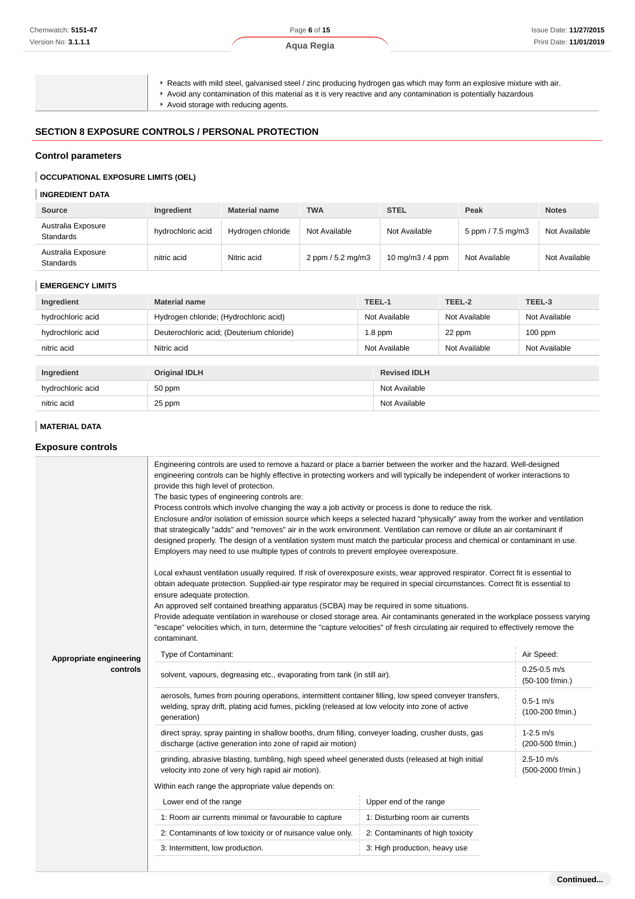## **Aqua Regia**

Reacts with mild steel, galvanised steel / zinc producing hydrogen gas which may form an explosive mixture with air.

Avoid any contamination of this material as it is very reactive and any contamination is potentially hazardous

Avoid storage with reducing agents.

#### **SECTION 8 EXPOSURE CONTROLS / PERSONAL PROTECTION**

## **Control parameters**

#### **OCCUPATIONAL EXPOSURE LIMITS (OEL)**

#### **INGREDIENT DATA**

| <b>Source</b>                          | Ingredient        | <b>Material name</b> | <b>TWA</b>        | <b>STEL</b>       | Peak              | <b>Notes</b>  |
|----------------------------------------|-------------------|----------------------|-------------------|-------------------|-------------------|---------------|
| Australia Exposure<br><b>Standards</b> | hydrochloric acid | Hydrogen chloride    | Not Available     | Not Available     | 5 ppm / 7.5 mg/m3 | Not Available |
| Australia Exposure<br><b>Standards</b> | nitric acid       | Nitric acid          | 2 ppm / 5.2 mg/m3 | 10 mg/m $3/4$ ppm | Not Available     | Not Available |

## **EMERGENCY LIMITS**

| Ingredient        | <b>Material name</b>                      |               | TEEL-1              | TEEL-2        | TEEL-3        |
|-------------------|-------------------------------------------|---------------|---------------------|---------------|---------------|
| hydrochloric acid | Hydrogen chloride; (Hydrochloric acid)    |               | Not Available       | Not Available | Not Available |
| hydrochloric acid | Deuterochloric acid; (Deuterium chloride) | $1.8$ ppm     |                     | 22 ppm        | $100$ ppm     |
| nitric acid       | Nitric acid                               | Not Available |                     | Not Available | Not Available |
|                   |                                           |               |                     |               |               |
| Ingredient        | <b>Original IDLH</b>                      |               | <b>Revised IDLH</b> |               |               |
| hydrochloric acid | 50 ppm                                    |               | Not Available       |               |               |
| nitric acid       | 25 ppm                                    |               | Not Available       |               |               |

## **MATERIAL DATA**

#### **Exposure controls**

|                         | Engineering controls are used to remove a hazard or place a barrier between the worker and the hazard. Well-designed<br>engineering controls can be highly effective in protecting workers and will typically be independent of worker interactions to<br>provide this high level of protection.<br>The basic types of engineering controls are:<br>Process controls which involve changing the way a job activity or process is done to reduce the risk.<br>Enclosure and/or isolation of emission source which keeps a selected hazard "physically" away from the worker and ventilation<br>that strategically "adds" and "removes" air in the work environment. Ventilation can remove or dilute an air contaminant if<br>designed properly. The design of a ventilation system must match the particular process and chemical or contaminant in use.<br>Employers may need to use multiple types of controls to prevent employee overexposure.<br>Local exhaust ventilation usually required. If risk of overexposure exists, wear approved respirator. Correct fit is essential to<br>obtain adequate protection. Supplied-air type respirator may be required in special circumstances. Correct fit is essential to<br>ensure adequate protection.<br>An approved self contained breathing apparatus (SCBA) may be required in some situations.<br>Provide adequate ventilation in warehouse or closed storage area. Air contaminants generated in the workplace possess varying<br>"escape" velocities which, in turn, determine the "capture velocities" of fresh circulating air required to effectively remove the<br>contaminant. |                                  |                                     |  |
|-------------------------|----------------------------------------------------------------------------------------------------------------------------------------------------------------------------------------------------------------------------------------------------------------------------------------------------------------------------------------------------------------------------------------------------------------------------------------------------------------------------------------------------------------------------------------------------------------------------------------------------------------------------------------------------------------------------------------------------------------------------------------------------------------------------------------------------------------------------------------------------------------------------------------------------------------------------------------------------------------------------------------------------------------------------------------------------------------------------------------------------------------------------------------------------------------------------------------------------------------------------------------------------------------------------------------------------------------------------------------------------------------------------------------------------------------------------------------------------------------------------------------------------------------------------------------------------------------------------------------------------------------------------------------------|----------------------------------|-------------------------------------|--|
| Appropriate engineering | Type of Contaminant:                                                                                                                                                                                                                                                                                                                                                                                                                                                                                                                                                                                                                                                                                                                                                                                                                                                                                                                                                                                                                                                                                                                                                                                                                                                                                                                                                                                                                                                                                                                                                                                                                         |                                  | Air Speed:                          |  |
| controls                | solvent, vapours, degreasing etc., evaporating from tank (in still air).                                                                                                                                                                                                                                                                                                                                                                                                                                                                                                                                                                                                                                                                                                                                                                                                                                                                                                                                                                                                                                                                                                                                                                                                                                                                                                                                                                                                                                                                                                                                                                     |                                  | $0.25 - 0.5$ m/s<br>(50-100 f/min.) |  |
|                         | aerosols, fumes from pouring operations, intermittent container filling, low speed conveyer transfers,<br>welding, spray drift, plating acid fumes, pickling (released at low velocity into zone of active<br>generation)                                                                                                                                                                                                                                                                                                                                                                                                                                                                                                                                                                                                                                                                                                                                                                                                                                                                                                                                                                                                                                                                                                                                                                                                                                                                                                                                                                                                                    |                                  | $0.5 - 1$ m/s<br>(100-200 f/min.)   |  |
|                         | direct spray, spray painting in shallow booths, drum filling, conveyer loading, crusher dusts, gas<br>discharge (active generation into zone of rapid air motion)                                                                                                                                                                                                                                                                                                                                                                                                                                                                                                                                                                                                                                                                                                                                                                                                                                                                                                                                                                                                                                                                                                                                                                                                                                                                                                                                                                                                                                                                            |                                  | $1 - 2.5$ m/s<br>(200-500 f/min.)   |  |
|                         | grinding, abrasive blasting, tumbling, high speed wheel generated dusts (released at high initial<br>velocity into zone of very high rapid air motion).                                                                                                                                                                                                                                                                                                                                                                                                                                                                                                                                                                                                                                                                                                                                                                                                                                                                                                                                                                                                                                                                                                                                                                                                                                                                                                                                                                                                                                                                                      |                                  | $2.5 - 10$ m/s<br>(500-2000 f/min.) |  |
|                         | Within each range the appropriate value depends on:                                                                                                                                                                                                                                                                                                                                                                                                                                                                                                                                                                                                                                                                                                                                                                                                                                                                                                                                                                                                                                                                                                                                                                                                                                                                                                                                                                                                                                                                                                                                                                                          |                                  |                                     |  |
|                         | Lower end of the range                                                                                                                                                                                                                                                                                                                                                                                                                                                                                                                                                                                                                                                                                                                                                                                                                                                                                                                                                                                                                                                                                                                                                                                                                                                                                                                                                                                                                                                                                                                                                                                                                       | Upper end of the range           |                                     |  |
|                         | 1: Room air currents minimal or favourable to capture                                                                                                                                                                                                                                                                                                                                                                                                                                                                                                                                                                                                                                                                                                                                                                                                                                                                                                                                                                                                                                                                                                                                                                                                                                                                                                                                                                                                                                                                                                                                                                                        | 1: Disturbing room air currents  |                                     |  |
|                         | 2: Contaminants of low toxicity or of nuisance value only.                                                                                                                                                                                                                                                                                                                                                                                                                                                                                                                                                                                                                                                                                                                                                                                                                                                                                                                                                                                                                                                                                                                                                                                                                                                                                                                                                                                                                                                                                                                                                                                   | 2: Contaminants of high toxicity |                                     |  |
|                         | 3: Intermittent, low production.                                                                                                                                                                                                                                                                                                                                                                                                                                                                                                                                                                                                                                                                                                                                                                                                                                                                                                                                                                                                                                                                                                                                                                                                                                                                                                                                                                                                                                                                                                                                                                                                             | 3: High production, heavy use    |                                     |  |
|                         |                                                                                                                                                                                                                                                                                                                                                                                                                                                                                                                                                                                                                                                                                                                                                                                                                                                                                                                                                                                                                                                                                                                                                                                                                                                                                                                                                                                                                                                                                                                                                                                                                                              |                                  |                                     |  |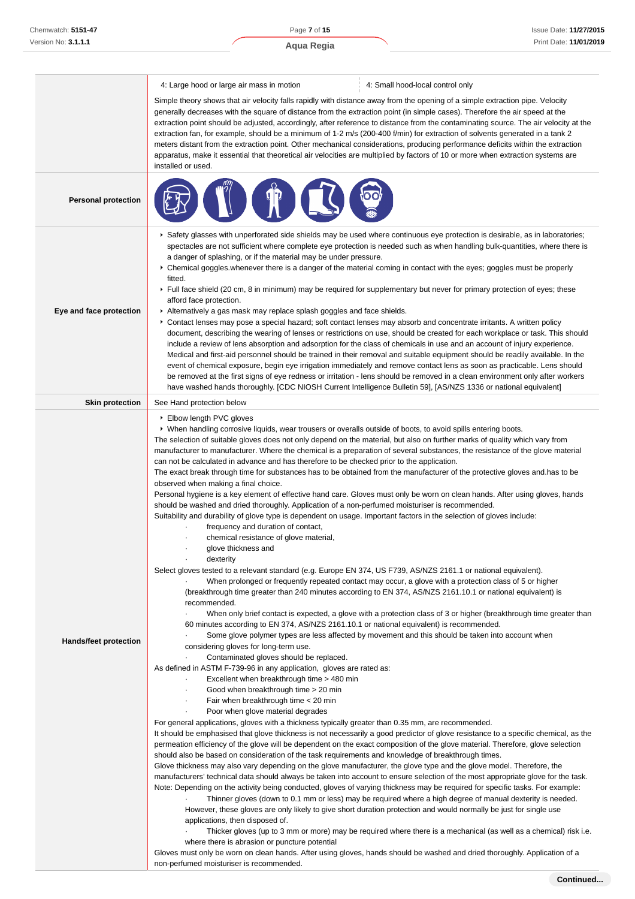4: Large hood or large air mass in motion 4: Small hood-local control only

Simple theory shows that air velocity falls rapidly with distance away from the opening of a simple extraction pipe. Velocity generally decreases with the square of distance from the extraction point (in simple cases). Therefore the air speed at the extraction point should be adjusted, accordingly, after reference to distance from the contaminating source. The air velocity at the extraction fan, for example, should be a minimum of 1-2 m/s (200-400 f/min) for extraction of solvents generated in a tank 2 meters distant from the extraction point. Other mechanical considerations, producing performance deficits within the extraction apparatus, make it essential that theoretical air velocities are multiplied by factors of 10 or more when extraction systems are installed or used.

| <b>Personal protection</b> |                                                                                                                                                                                                                                                                                                                                                                                                                                                                                                                                                                                                                                                                                                                                                                                                                                                                                                                                                                                                                                                                                                                                                                                                                                                                                                                                                                                                                                                                                                                                                                                                                                                                                                                                                                                                                                                                                                                                                                                                                                                                                                                                                                                                                                                                                                                                                                                                                                                                                                                                                                                                                                                                                                                                                                                                                                                                                                                                                                                                                                                                                                                                                                                                                                                                                                                                                                                                                                                                                                                                                  |
|----------------------------|--------------------------------------------------------------------------------------------------------------------------------------------------------------------------------------------------------------------------------------------------------------------------------------------------------------------------------------------------------------------------------------------------------------------------------------------------------------------------------------------------------------------------------------------------------------------------------------------------------------------------------------------------------------------------------------------------------------------------------------------------------------------------------------------------------------------------------------------------------------------------------------------------------------------------------------------------------------------------------------------------------------------------------------------------------------------------------------------------------------------------------------------------------------------------------------------------------------------------------------------------------------------------------------------------------------------------------------------------------------------------------------------------------------------------------------------------------------------------------------------------------------------------------------------------------------------------------------------------------------------------------------------------------------------------------------------------------------------------------------------------------------------------------------------------------------------------------------------------------------------------------------------------------------------------------------------------------------------------------------------------------------------------------------------------------------------------------------------------------------------------------------------------------------------------------------------------------------------------------------------------------------------------------------------------------------------------------------------------------------------------------------------------------------------------------------------------------------------------------------------------------------------------------------------------------------------------------------------------------------------------------------------------------------------------------------------------------------------------------------------------------------------------------------------------------------------------------------------------------------------------------------------------------------------------------------------------------------------------------------------------------------------------------------------------------------------------------------------------------------------------------------------------------------------------------------------------------------------------------------------------------------------------------------------------------------------------------------------------------------------------------------------------------------------------------------------------------------------------------------------------------------------------------------------------|
| Eye and face protection    | ▶ Safety glasses with unperforated side shields may be used where continuous eye protection is desirable, as in laboratories;<br>spectacles are not sufficient where complete eye protection is needed such as when handling bulk-quantities, where there is<br>a danger of splashing, or if the material may be under pressure.<br>▶ Chemical goggles whenever there is a danger of the material coming in contact with the eyes; goggles must be properly<br>fitted.<br>► Full face shield (20 cm, 8 in minimum) may be required for supplementary but never for primary protection of eyes; these<br>afford face protection.<br>Alternatively a gas mask may replace splash goggles and face shields.<br>Contact lenses may pose a special hazard; soft contact lenses may absorb and concentrate irritants. A written policy<br>document, describing the wearing of lenses or restrictions on use, should be created for each workplace or task. This should<br>include a review of lens absorption and adsorption for the class of chemicals in use and an account of injury experience.<br>Medical and first-aid personnel should be trained in their removal and suitable equipment should be readily available. In the<br>event of chemical exposure, begin eye irrigation immediately and remove contact lens as soon as practicable. Lens should<br>be removed at the first signs of eye redness or irritation - lens should be removed in a clean environment only after workers<br>have washed hands thoroughly. [CDC NIOSH Current Intelligence Bulletin 59], [AS/NZS 1336 or national equivalent]                                                                                                                                                                                                                                                                                                                                                                                                                                                                                                                                                                                                                                                                                                                                                                                                                                                                                                                                                                                                                                                                                                                                                                                                                                                                                                                                                                                                                                                                                                                                                                                                                                                                                                                                                                                                                                                                                                                                  |
| <b>Skin protection</b>     | See Hand protection below                                                                                                                                                                                                                                                                                                                                                                                                                                                                                                                                                                                                                                                                                                                                                                                                                                                                                                                                                                                                                                                                                                                                                                                                                                                                                                                                                                                                                                                                                                                                                                                                                                                                                                                                                                                                                                                                                                                                                                                                                                                                                                                                                                                                                                                                                                                                                                                                                                                                                                                                                                                                                                                                                                                                                                                                                                                                                                                                                                                                                                                                                                                                                                                                                                                                                                                                                                                                                                                                                                                        |
| Hands/feet protection      | ▶ Elbow length PVC gloves<br>▶ When handling corrosive liquids, wear trousers or overalls outside of boots, to avoid spills entering boots.<br>The selection of suitable gloves does not only depend on the material, but also on further marks of quality which vary from<br>manufacturer to manufacturer. Where the chemical is a preparation of several substances, the resistance of the glove material<br>can not be calculated in advance and has therefore to be checked prior to the application.<br>The exact break through time for substances has to be obtained from the manufacturer of the protective gloves and has to be<br>observed when making a final choice.<br>Personal hygiene is a key element of effective hand care. Gloves must only be worn on clean hands. After using gloves, hands<br>should be washed and dried thoroughly. Application of a non-perfumed moisturiser is recommended.<br>Suitability and durability of glove type is dependent on usage. Important factors in the selection of gloves include:<br>frequency and duration of contact,<br>chemical resistance of glove material,<br>glove thickness and<br>dexterity<br>Select gloves tested to a relevant standard (e.g. Europe EN 374, US F739, AS/NZS 2161.1 or national equivalent).<br>When prolonged or frequently repeated contact may occur, a glove with a protection class of 5 or higher<br>(breakthrough time greater than 240 minutes according to EN 374, AS/NZS 2161.10.1 or national equivalent) is<br>recommended.<br>When only brief contact is expected, a glove with a protection class of 3 or higher (breakthrough time greater than<br>60 minutes according to EN 374, AS/NZS 2161.10.1 or national equivalent) is recommended.<br>Some glove polymer types are less affected by movement and this should be taken into account when<br>considering gloves for long-term use.<br>Contaminated gloves should be replaced.<br>As defined in ASTM F-739-96 in any application, gloves are rated as:<br>Excellent when breakthrough time > 480 min<br>Good when breakthrough time > 20 min<br>٠<br>Fair when breakthrough time < 20 min<br>Poor when glove material degrades<br>For general applications, gloves with a thickness typically greater than 0.35 mm, are recommended.<br>It should be emphasised that glove thickness is not necessarily a good predictor of glove resistance to a specific chemical, as the<br>permeation efficiency of the glove will be dependent on the exact composition of the glove material. Therefore, glove selection<br>should also be based on consideration of the task requirements and knowledge of breakthrough times.<br>Glove thickness may also vary depending on the glove manufacturer, the glove type and the glove model. Therefore, the<br>manufacturers' technical data should always be taken into account to ensure selection of the most appropriate glove for the task.<br>Note: Depending on the activity being conducted, gloves of varying thickness may be required for specific tasks. For example:<br>Thinner gloves (down to 0.1 mm or less) may be required where a high degree of manual dexterity is needed.<br>However, these gloves are only likely to give short duration protection and would normally be just for single use<br>applications, then disposed of.<br>Thicker gloves (up to 3 mm or more) may be required where there is a mechanical (as well as a chemical) risk i.e.<br>$\blacksquare$<br>where there is abrasion or puncture potential |
|                            | Gloves must only be worn on clean hands. After using gloves, hands should be washed and dried thoroughly. Application of a<br>non-perfumed moisturiser is recommended.                                                                                                                                                                                                                                                                                                                                                                                                                                                                                                                                                                                                                                                                                                                                                                                                                                                                                                                                                                                                                                                                                                                                                                                                                                                                                                                                                                                                                                                                                                                                                                                                                                                                                                                                                                                                                                                                                                                                                                                                                                                                                                                                                                                                                                                                                                                                                                                                                                                                                                                                                                                                                                                                                                                                                                                                                                                                                                                                                                                                                                                                                                                                                                                                                                                                                                                                                                           |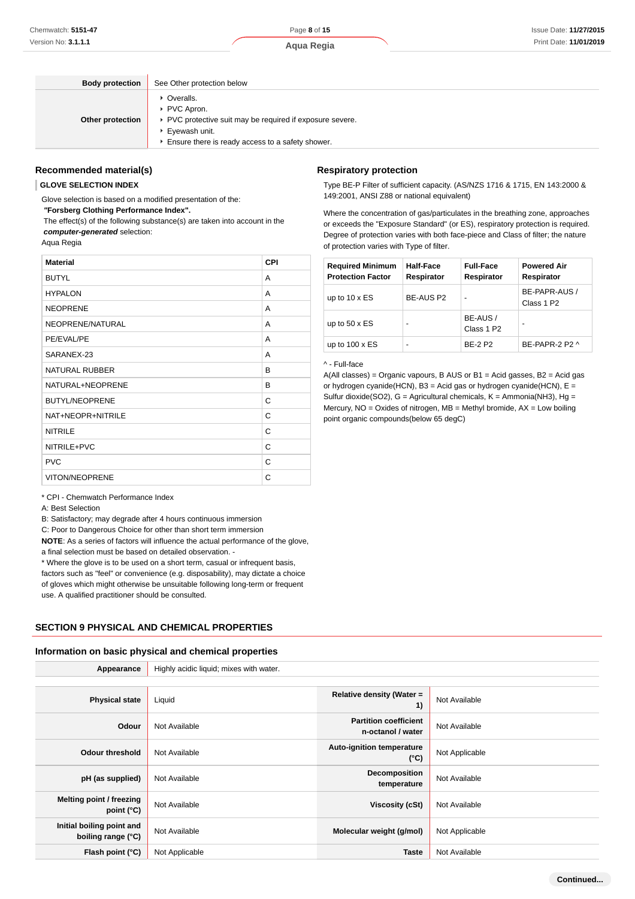Page **8** of **15**

| <b>Body protection</b> | See Other protection below                                                                                                                                      |
|------------------------|-----------------------------------------------------------------------------------------------------------------------------------------------------------------|
| Other protection       | • Overalls.<br>▶ PVC Apron.<br>▶ PVC protective suit may be required if exposure severe.<br>▶ Eyewash unit.<br>Ensure there is ready access to a safety shower. |

#### **Recommended material(s)**

#### **GLOVE SELECTION INDEX**

Glove selection is based on a modified presentation of the:

 **"Forsberg Clothing Performance Index".**

 The effect(s) of the following substance(s) are taken into account in the **computer-generated** selection:

Aqua Regia

| <b>Material</b>       | <b>CPI</b> |
|-----------------------|------------|
| <b>BUTYL</b>          | A          |
| <b>HYPALON</b>        | A          |
| <b>NEOPRENE</b>       | A          |
| NEOPRENE/NATURAL      | A          |
| PE/EVAL/PE            | A          |
| SARANEX-23            | A          |
| <b>NATURAL RUBBER</b> | B          |
| NATURAL+NEOPRENE      | B          |
| <b>BUTYL/NEOPRENE</b> | C          |
| NAT+NEOPR+NITRILE     | C          |
| <b>NITRILE</b>        | C          |
| NITRILE+PVC           | C          |
| <b>PVC</b>            | C          |
| <b>VITON/NEOPRENE</b> | C          |

\* CPI - Chemwatch Performance Index

A: Best Selection

B: Satisfactory; may degrade after 4 hours continuous immersion

C: Poor to Dangerous Choice for other than short term immersion

**NOTE**: As a series of factors will influence the actual performance of the glove, a final selection must be based on detailed observation. -

\* Where the glove is to be used on a short term, casual or infrequent basis,

factors such as "feel" or convenience (e.g. disposability), may dictate a choice of gloves which might otherwise be unsuitable following long-term or frequent use. A qualified practitioner should be consulted.

# **SECTION 9 PHYSICAL AND CHEMICAL PROPERTIES**

#### **Information on basic physical and chemical properties**

| Appearance                                      | Highly acidic liquid; mixes with water. |                                                   |                |
|-------------------------------------------------|-----------------------------------------|---------------------------------------------------|----------------|
|                                                 |                                         |                                                   |                |
| <b>Physical state</b>                           | Liquid                                  | Relative density (Water =<br>1)                   | Not Available  |
| Odour                                           | Not Available                           | <b>Partition coefficient</b><br>n-octanol / water | Not Available  |
| Odour threshold                                 | Not Available                           | <b>Auto-ignition temperature</b><br>$(^{\circ}C)$ | Not Applicable |
| pH (as supplied)                                | Not Available                           | Decomposition<br>temperature                      | Not Available  |
| Melting point / freezing<br>point (°C)          | Not Available                           | Viscosity (cSt)                                   | Not Available  |
| Initial boiling point and<br>boiling range (°C) | Not Available                           | Molecular weight (g/mol)                          | Not Applicable |
| Flash point (°C)                                | Not Applicable                          | <b>Taste</b>                                      | Not Available  |

#### **Respiratory protection**

Type BE-P Filter of sufficient capacity. (AS/NZS 1716 & 1715, EN 143:2000 & 149:2001, ANSI Z88 or national equivalent)

Where the concentration of gas/particulates in the breathing zone, approaches or exceeds the "Exposure Standard" (or ES), respiratory protection is required. Degree of protection varies with both face-piece and Class of filter; the nature of protection varies with Type of filter.

| <b>Required Minimum</b><br><b>Protection Factor</b> | Half-Face<br>Respirator | <b>Full-Face</b><br>Respirator     | <b>Powered Air</b><br>Respirator        |
|-----------------------------------------------------|-------------------------|------------------------------------|-----------------------------------------|
| up to $10 \times ES$                                | BE-AUS P2               | ۰                                  | BE-PAPR-AUS /<br>Class 1 P <sub>2</sub> |
| up to $50 \times ES$                                | -                       | BE-AUS /<br>Class 1 P <sub>2</sub> |                                         |
| up to $100 \times ES$                               | -                       | <b>BF-2 P2</b>                     | $BF-PAPR-2$ P <sub>2</sub> $\land$      |

#### ^ - Full-face

A(All classes) = Organic vapours, B AUS or B1 = Acid gasses, B2 = Acid gas or hydrogen cyanide(HCN), B3 = Acid gas or hydrogen cyanide(HCN),  $E =$ Sulfur dioxide(SO2),  $G =$  Agricultural chemicals,  $K =$  Ammonia(NH3), Hg = Mercury,  $NO = Oxides$  of nitrogen,  $MB = Methyl$  bromide,  $AX = Low$  boiling point organic compounds(below 65 degC)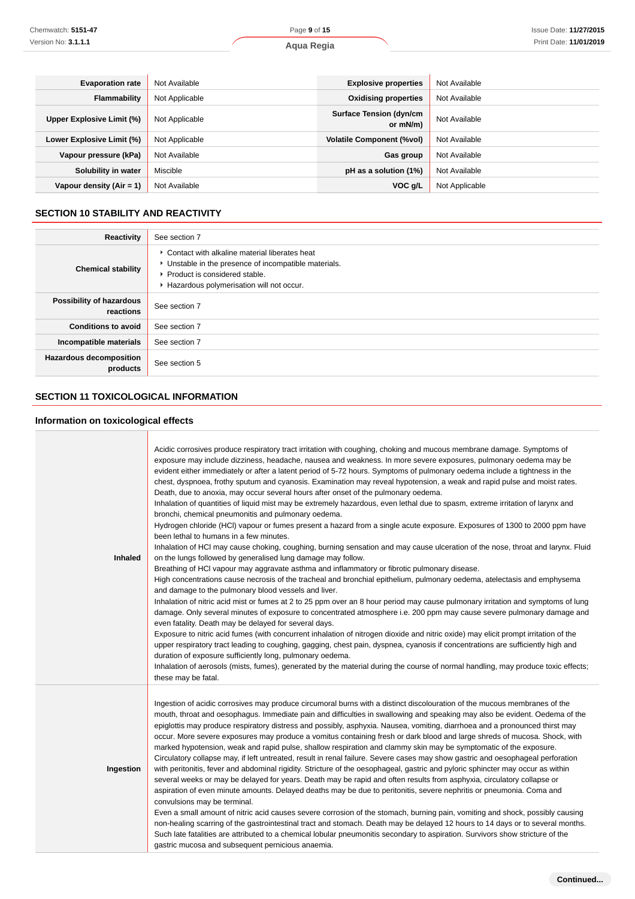| <b>Evaporation rate</b>    | Not Available  | <b>Explosive properties</b>                | Not Available  |
|----------------------------|----------------|--------------------------------------------|----------------|
| Flammability               | Not Applicable | <b>Oxidising properties</b>                | Not Available  |
| Upper Explosive Limit (%)  | Not Applicable | <b>Surface Tension (dyn/cm</b><br>or mN/m) | Not Available  |
| Lower Explosive Limit (%)  | Not Applicable | <b>Volatile Component (%vol)</b>           | Not Available  |
| Vapour pressure (kPa)      | Not Available  | Gas group                                  | Not Available  |
| Solubility in water        | Miscible       | pH as a solution (1%)                      | Not Available  |
| Vapour density $(Air = 1)$ | Not Available  | VOC g/L                                    | Not Applicable |

# **SECTION 10 STABILITY AND REACTIVITY**

| Reactivity                                 | See section 7                                                                                                                                                                           |
|--------------------------------------------|-----------------------------------------------------------------------------------------------------------------------------------------------------------------------------------------|
| <b>Chemical stability</b>                  | • Contact with alkaline material liberates heat<br>• Unstable in the presence of incompatible materials.<br>▶ Product is considered stable.<br>Hazardous polymerisation will not occur. |
| Possibility of hazardous<br>reactions      | See section 7                                                                                                                                                                           |
| <b>Conditions to avoid</b>                 | See section 7                                                                                                                                                                           |
| Incompatible materials                     | See section 7                                                                                                                                                                           |
| <b>Hazardous decomposition</b><br>products | See section 5                                                                                                                                                                           |

# **SECTION 11 TOXICOLOGICAL INFORMATION**

# **Information on toxicological effects**

| <b>Inhaled</b> | Acidic corrosives produce respiratory tract irritation with coughing, choking and mucous membrane damage. Symptoms of<br>exposure may include dizziness, headache, nausea and weakness. In more severe exposures, pulmonary oedema may be<br>evident either immediately or after a latent period of 5-72 hours. Symptoms of pulmonary oedema include a tightness in the<br>chest, dyspnoea, frothy sputum and cyanosis. Examination may reveal hypotension, a weak and rapid pulse and moist rates.<br>Death, due to anoxia, may occur several hours after onset of the pulmonary oedema.<br>Inhalation of quantities of liquid mist may be extremely hazardous, even lethal due to spasm, extreme irritation of larynx and<br>bronchi, chemical pneumonitis and pulmonary oedema.<br>Hydrogen chloride (HCl) vapour or fumes present a hazard from a single acute exposure. Exposures of 1300 to 2000 ppm have<br>been lethal to humans in a few minutes.<br>Inhalation of HCI may cause choking, coughing, burning sensation and may cause ulceration of the nose, throat and larynx. Fluid<br>on the lungs followed by generalised lung damage may follow.<br>Breathing of HCI vapour may aggravate asthma and inflammatory or fibrotic pulmonary disease.<br>High concentrations cause necrosis of the tracheal and bronchial epithelium, pulmonary oedema, atelectasis and emphysema<br>and damage to the pulmonary blood vessels and liver.<br>Inhalation of nitric acid mist or fumes at 2 to 25 ppm over an 8 hour period may cause pulmonary irritation and symptoms of lung<br>damage. Only several minutes of exposure to concentrated atmosphere i.e. 200 ppm may cause severe pulmonary damage and<br>even fatality. Death may be delayed for several days.<br>Exposure to nitric acid fumes (with concurrent inhalation of nitrogen dioxide and nitric oxide) may elicit prompt irritation of the<br>upper respiratory tract leading to coughing, gagging, chest pain, dyspnea, cyanosis if concentrations are sufficiently high and<br>duration of exposure sufficiently long, pulmonary oedema.<br>Inhalation of aerosols (mists, fumes), generated by the material during the course of normal handling, may produce toxic effects;<br>these may be fatal. |
|----------------|-----------------------------------------------------------------------------------------------------------------------------------------------------------------------------------------------------------------------------------------------------------------------------------------------------------------------------------------------------------------------------------------------------------------------------------------------------------------------------------------------------------------------------------------------------------------------------------------------------------------------------------------------------------------------------------------------------------------------------------------------------------------------------------------------------------------------------------------------------------------------------------------------------------------------------------------------------------------------------------------------------------------------------------------------------------------------------------------------------------------------------------------------------------------------------------------------------------------------------------------------------------------------------------------------------------------------------------------------------------------------------------------------------------------------------------------------------------------------------------------------------------------------------------------------------------------------------------------------------------------------------------------------------------------------------------------------------------------------------------------------------------------------------------------------------------------------------------------------------------------------------------------------------------------------------------------------------------------------------------------------------------------------------------------------------------------------------------------------------------------------------------------------------------------------------------------------------------------------------------------------------------------------------|
| Ingestion      | Ingestion of acidic corrosives may produce circumoral burns with a distinct discolouration of the mucous membranes of the<br>mouth, throat and oesophagus. Immediate pain and difficulties in swallowing and speaking may also be evident. Oedema of the<br>epiglottis may produce respiratory distress and possibly, asphyxia. Nausea, vomiting, diarrhoea and a pronounced thirst may<br>occur. More severe exposures may produce a vomitus containing fresh or dark blood and large shreds of mucosa. Shock, with<br>marked hypotension, weak and rapid pulse, shallow respiration and clammy skin may be symptomatic of the exposure.<br>Circulatory collapse may, if left untreated, result in renal failure. Severe cases may show gastric and oesophageal perforation<br>with peritonitis, fever and abdominal rigidity. Stricture of the oesophageal, gastric and pyloric sphincter may occur as within<br>several weeks or may be delayed for years. Death may be rapid and often results from asphyxia, circulatory collapse or<br>aspiration of even minute amounts. Delayed deaths may be due to peritonitis, severe nephritis or pneumonia. Coma and<br>convulsions may be terminal.<br>Even a small amount of nitric acid causes severe corrosion of the stomach, burning pain, vomiting and shock, possibly causing<br>non-healing scarring of the gastrointestinal tract and stomach. Death may be delayed 12 hours to 14 days or to several months.<br>Such late fatalities are attributed to a chemical lobular pneumonitis secondary to aspiration. Survivors show stricture of the<br>gastric mucosa and subsequent pernicious anaemia.                                                                                                                                                                                                                                                                                                                                                                                                                                                                                                                                                                                                                 |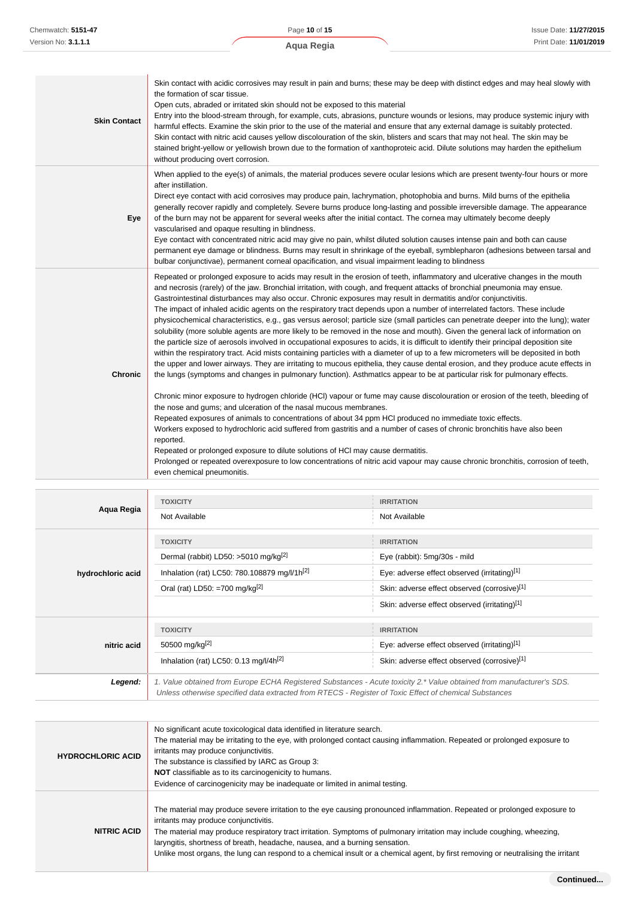| <b>Skin Contact</b> | Skin contact with acidic corrosives may result in pain and burns; these may be deep with distinct edges and may heal slowly with<br>the formation of scar tissue.<br>Open cuts, abraded or irritated skin should not be exposed to this material<br>Entry into the blood-stream through, for example, cuts, abrasions, puncture wounds or lesions, may produce systemic injury with<br>harmful effects. Examine the skin prior to the use of the material and ensure that any external damage is suitably protected.<br>Skin contact with nitric acid causes yellow discolouration of the skin, blisters and scars that may not heal. The skin may be<br>stained bright-yellow or yellowish brown due to the formation of xanthoproteic acid. Dilute solutions may harden the epithelium<br>without producing overt corrosion.                                                                                                                                                                                                                                                                                                                                                                                                                                                                                                                                                                                                                                                                                                                                                                                                                                                                                                                                                                                                                                                                                                                                                                                                                         |
|---------------------|--------------------------------------------------------------------------------------------------------------------------------------------------------------------------------------------------------------------------------------------------------------------------------------------------------------------------------------------------------------------------------------------------------------------------------------------------------------------------------------------------------------------------------------------------------------------------------------------------------------------------------------------------------------------------------------------------------------------------------------------------------------------------------------------------------------------------------------------------------------------------------------------------------------------------------------------------------------------------------------------------------------------------------------------------------------------------------------------------------------------------------------------------------------------------------------------------------------------------------------------------------------------------------------------------------------------------------------------------------------------------------------------------------------------------------------------------------------------------------------------------------------------------------------------------------------------------------------------------------------------------------------------------------------------------------------------------------------------------------------------------------------------------------------------------------------------------------------------------------------------------------------------------------------------------------------------------------------------------------------------------------------------------------------------------------|
| Eye                 | When applied to the eye(s) of animals, the material produces severe ocular lesions which are present twenty-four hours or more<br>after instillation.<br>Direct eye contact with acid corrosives may produce pain, lachrymation, photophobia and burns. Mild burns of the epithelia<br>generally recover rapidly and completely. Severe burns produce long-lasting and possible irreversible damage. The appearance<br>of the burn may not be apparent for several weeks after the initial contact. The cornea may ultimately become deeply<br>vascularised and opaque resulting in blindness.<br>Eye contact with concentrated nitric acid may give no pain, whilst diluted solution causes intense pain and both can cause<br>permanent eye damage or blindness. Burns may result in shrinkage of the eyeball, symblepharon (adhesions between tarsal and<br>bulbar conjunctivae), permanent corneal opacification, and visual impairment leading to blindness                                                                                                                                                                                                                                                                                                                                                                                                                                                                                                                                                                                                                                                                                                                                                                                                                                                                                                                                                                                                                                                                                       |
| <b>Chronic</b>      | Repeated or prolonged exposure to acids may result in the erosion of teeth, inflammatory and ulcerative changes in the mouth<br>and necrosis (rarely) of the jaw. Bronchial irritation, with cough, and frequent attacks of bronchial pneumonia may ensue.<br>Gastrointestinal disturbances may also occur. Chronic exposures may result in dermatitis and/or conjunctivitis.<br>The impact of inhaled acidic agents on the respiratory tract depends upon a number of interrelated factors. These include<br>physicochemical characteristics, e.g., gas versus aerosol; particle size (small particles can penetrate deeper into the lung); water<br>solubility (more soluble agents are more likely to be removed in the nose and mouth). Given the general lack of information on<br>the particle size of aerosols involved in occupational exposures to acids, it is difficult to identify their principal deposition site<br>within the respiratory tract. Acid mists containing particles with a diameter of up to a few micrometers will be deposited in both<br>the upper and lower airways. They are irritating to mucous epithelia, they cause dental erosion, and they produce acute effects in<br>the lungs (symptoms and changes in pulmonary function). Asthmatics appear to be at particular risk for pulmonary effects.<br>Chronic minor exposure to hydrogen chloride (HCI) vapour or fume may cause discolouration or erosion of the teeth, bleeding of<br>the nose and gums; and ulceration of the nasal mucous membranes.<br>Repeated exposures of animals to concentrations of about 34 ppm HCI produced no immediate toxic effects.<br>Workers exposed to hydrochloric acid suffered from gastritis and a number of cases of chronic bronchitis have also been<br>reported.<br>Repeated or prolonged exposure to dilute solutions of HCl may cause dermatitis.<br>Prolonged or repeated overexposure to low concentrations of nitric acid vapour may cause chronic bronchitis, corrosion of teeth,<br>even chemical pneumonitis. |

| Aqua Regia        | <b>TOXICITY</b>                                                                                                                                                                                                                 | <b>IRRITATION</b>                             |  |
|-------------------|---------------------------------------------------------------------------------------------------------------------------------------------------------------------------------------------------------------------------------|-----------------------------------------------|--|
|                   | Not Available                                                                                                                                                                                                                   | Not Available                                 |  |
|                   | <b>TOXICITY</b>                                                                                                                                                                                                                 | <b>IRRITATION</b>                             |  |
|                   | Dermal (rabbit) LD50: >5010 mg/kg <sup>[2]</sup>                                                                                                                                                                                | Eye (rabbit): 5mg/30s - mild                  |  |
| hydrochloric acid | Inhalation (rat) LC50: 780.108879 mg/l/1h <sup>[2]</sup>                                                                                                                                                                        | Eye: adverse effect observed (irritating)[1]  |  |
|                   | Oral (rat) LD50: =700 mg/kg <sup>[2]</sup>                                                                                                                                                                                      | Skin: adverse effect observed (corrosive)[1]  |  |
|                   |                                                                                                                                                                                                                                 | Skin: adverse effect observed (irritating)[1] |  |
|                   | <b>TOXICITY</b>                                                                                                                                                                                                                 | <b>IRRITATION</b>                             |  |
| nitric acid       | 50500 mg/kg <sup>[2]</sup>                                                                                                                                                                                                      | Eye: adverse effect observed (irritating)[1]  |  |
|                   | Inhalation (rat) LC50: 0.13 mg/l/4h <sup>[2]</sup>                                                                                                                                                                              | Skin: adverse effect observed (corrosive)[1]  |  |
| Legend:           | 1. Value obtained from Europe ECHA Registered Substances - Acute toxicity 2.* Value obtained from manufacturer's SDS.<br>Unless otherwise specified data extracted from RTECS - Register of Toxic Effect of chemical Substances |                                               |  |

| <b>HYDROCHLORIC ACID</b> | No significant acute toxicological data identified in literature search.<br>The material may be irritating to the eye, with prolonged contact causing inflammation. Repeated or prolonged exposure to<br>irritants may produce conjunctivitis.<br>The substance is classified by IARC as Group 3:<br><b>NOT</b> classifiable as to its carcinogenicity to humans.<br>Evidence of carcinogenicity may be inadequate or limited in animal testing.                                                                 |
|--------------------------|------------------------------------------------------------------------------------------------------------------------------------------------------------------------------------------------------------------------------------------------------------------------------------------------------------------------------------------------------------------------------------------------------------------------------------------------------------------------------------------------------------------|
| <b>NITRIC ACID</b>       | The material may produce severe irritation to the eye causing pronounced inflammation. Repeated or prolonged exposure to<br>irritants may produce conjunctivitis.<br>The material may produce respiratory tract irritation. Symptoms of pulmonary irritation may include coughing, wheezing,<br>laryngitis, shortness of breath, headache, nausea, and a burning sensation.<br>Unlike most organs, the lung can respond to a chemical insult or a chemical agent, by first removing or neutralising the irritant |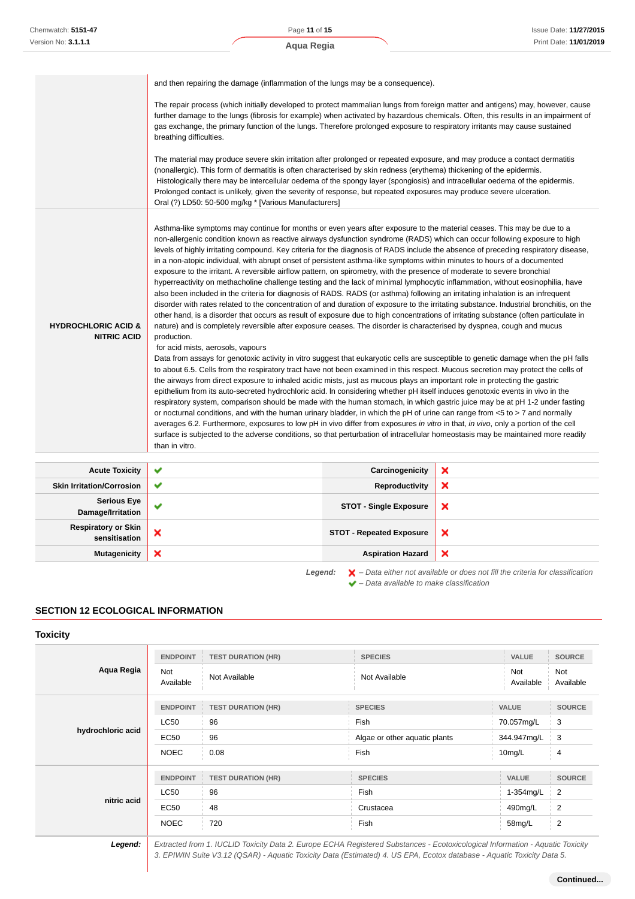Page **11** of **15**

|                                                      | and then repairing the damage (inflammation of the lungs may be a consequence).                                                                                                                                                                                                                                                                                                                                                                                                                                                                                                                                                                                                                                                                                                                                                                                                                                                                                                                                                                                                                                                                                                                                                                                                                                                                                                                                                                                                                                                                                                                                                                                                                                                                                                                                                                                                                                                                                                                                                                                                                                                                                                                                                                                                                                                                                                                                                                                                               |                                 |   |  |
|------------------------------------------------------|-----------------------------------------------------------------------------------------------------------------------------------------------------------------------------------------------------------------------------------------------------------------------------------------------------------------------------------------------------------------------------------------------------------------------------------------------------------------------------------------------------------------------------------------------------------------------------------------------------------------------------------------------------------------------------------------------------------------------------------------------------------------------------------------------------------------------------------------------------------------------------------------------------------------------------------------------------------------------------------------------------------------------------------------------------------------------------------------------------------------------------------------------------------------------------------------------------------------------------------------------------------------------------------------------------------------------------------------------------------------------------------------------------------------------------------------------------------------------------------------------------------------------------------------------------------------------------------------------------------------------------------------------------------------------------------------------------------------------------------------------------------------------------------------------------------------------------------------------------------------------------------------------------------------------------------------------------------------------------------------------------------------------------------------------------------------------------------------------------------------------------------------------------------------------------------------------------------------------------------------------------------------------------------------------------------------------------------------------------------------------------------------------------------------------------------------------------------------------------------------------|---------------------------------|---|--|
|                                                      | The repair process (which initially developed to protect mammalian lungs from foreign matter and antigens) may, however, cause<br>further damage to the lungs (fibrosis for example) when activated by hazardous chemicals. Often, this results in an impairment of<br>gas exchange, the primary function of the lungs. Therefore prolonged exposure to respiratory irritants may cause sustained<br>breathing difficulties.                                                                                                                                                                                                                                                                                                                                                                                                                                                                                                                                                                                                                                                                                                                                                                                                                                                                                                                                                                                                                                                                                                                                                                                                                                                                                                                                                                                                                                                                                                                                                                                                                                                                                                                                                                                                                                                                                                                                                                                                                                                                  |                                 |   |  |
|                                                      | The material may produce severe skin irritation after prolonged or repeated exposure, and may produce a contact dermatitis<br>(nonallergic). This form of dermatitis is often characterised by skin redness (erythema) thickening of the epidermis.<br>Histologically there may be intercellular oedema of the spongy layer (spongiosis) and intracellular oedema of the epidermis.<br>Prolonged contact is unlikely, given the severity of response, but repeated exposures may produce severe ulceration.<br>Oral (?) LD50: 50-500 mg/kg * [Various Manufacturers]                                                                                                                                                                                                                                                                                                                                                                                                                                                                                                                                                                                                                                                                                                                                                                                                                                                                                                                                                                                                                                                                                                                                                                                                                                                                                                                                                                                                                                                                                                                                                                                                                                                                                                                                                                                                                                                                                                                          |                                 |   |  |
| <b>HYDROCHLORIC ACID &amp;</b><br><b>NITRIC ACID</b> | Asthma-like symptoms may continue for months or even years after exposure to the material ceases. This may be due to a<br>non-allergenic condition known as reactive airways dysfunction syndrome (RADS) which can occur following exposure to high<br>levels of highly irritating compound. Key criteria for the diagnosis of RADS include the absence of preceding respiratory disease,<br>in a non-atopic individual, with abrupt onset of persistent asthma-like symptoms within minutes to hours of a documented<br>exposure to the irritant. A reversible airflow pattern, on spirometry, with the presence of moderate to severe bronchial<br>hyperreactivity on methacholine challenge testing and the lack of minimal lymphocytic inflammation, without eosinophilia, have<br>also been included in the criteria for diagnosis of RADS. RADS (or asthma) following an irritating inhalation is an infrequent<br>disorder with rates related to the concentration of and duration of exposure to the irritating substance. Industrial bronchitis, on the<br>other hand, is a disorder that occurs as result of exposure due to high concentrations of irritating substance (often particulate in<br>nature) and is completely reversible after exposure ceases. The disorder is characterised by dyspnea, cough and mucus<br>production.<br>for acid mists, aerosols, vapours<br>Data from assays for genotoxic activity in vitro suggest that eukaryotic cells are susceptible to genetic damage when the pH falls<br>to about 6.5. Cells from the respiratory tract have not been examined in this respect. Mucous secretion may protect the cells of<br>the airways from direct exposure to inhaled acidic mists, just as mucous plays an important role in protecting the gastric<br>epithelium from its auto-secreted hydrochloric acid. In considering whether pH itself induces genotoxic events in vivo in the<br>respiratory system, comparison should be made with the human stomach, in which gastric juice may be at pH 1-2 under fasting<br>or nocturnal conditions, and with the human urinary bladder, in which the pH of urine can range from $< 5$ to $> 7$ and normally<br>averages 6.2. Furthermore, exposures to low pH in vivo differ from exposures in vitro in that, in vivo, only a portion of the cell<br>surface is subjected to the adverse conditions, so that perturbation of intracellular homeostasis may be maintained more readily<br>than in vitro. |                                 |   |  |
| <b>Acute Toxicity</b>                                | ✔                                                                                                                                                                                                                                                                                                                                                                                                                                                                                                                                                                                                                                                                                                                                                                                                                                                                                                                                                                                                                                                                                                                                                                                                                                                                                                                                                                                                                                                                                                                                                                                                                                                                                                                                                                                                                                                                                                                                                                                                                                                                                                                                                                                                                                                                                                                                                                                                                                                                                             | Carcinogenicity                 | × |  |
| <b>Skin Irritation/Corrosion</b>                     | ✔                                                                                                                                                                                                                                                                                                                                                                                                                                                                                                                                                                                                                                                                                                                                                                                                                                                                                                                                                                                                                                                                                                                                                                                                                                                                                                                                                                                                                                                                                                                                                                                                                                                                                                                                                                                                                                                                                                                                                                                                                                                                                                                                                                                                                                                                                                                                                                                                                                                                                             | Reproductivity                  | × |  |
| <b>Serious Eye</b><br>Damage/Irritation              | ✔                                                                                                                                                                                                                                                                                                                                                                                                                                                                                                                                                                                                                                                                                                                                                                                                                                                                                                                                                                                                                                                                                                                                                                                                                                                                                                                                                                                                                                                                                                                                                                                                                                                                                                                                                                                                                                                                                                                                                                                                                                                                                                                                                                                                                                                                                                                                                                                                                                                                                             | <b>STOT - Single Exposure</b>   | × |  |
| <b>Respiratory or Skin</b><br>sensitisation          | ×                                                                                                                                                                                                                                                                                                                                                                                                                                                                                                                                                                                                                                                                                                                                                                                                                                                                                                                                                                                                                                                                                                                                                                                                                                                                                                                                                                                                                                                                                                                                                                                                                                                                                                                                                                                                                                                                                                                                                                                                                                                                                                                                                                                                                                                                                                                                                                                                                                                                                             | <b>STOT - Repeated Exposure</b> | × |  |
| <b>Mutagenicity</b>                                  | ×                                                                                                                                                                                                                                                                                                                                                                                                                                                                                                                                                                                                                                                                                                                                                                                                                                                                                                                                                                                                                                                                                                                                                                                                                                                                                                                                                                                                                                                                                                                                                                                                                                                                                                                                                                                                                                                                                                                                                                                                                                                                                                                                                                                                                                                                                                                                                                                                                                                                                             | <b>Aspiration Hazard</b>        | × |  |

## **SECTION 12 ECOLOGICAL INFORMATION**

#### **Toxicity**

|                   | <b>ENDPOINT</b>  | <b>TEST DURATION (HR)</b> | <b>SPECIES</b>                | <b>VALUE</b>     | <b>SOURCE</b>           |
|-------------------|------------------|---------------------------|-------------------------------|------------------|-------------------------|
| Aqua Regia        | Not<br>Available | Not Available             | Not Available                 | Not<br>Available | <b>Not</b><br>Available |
|                   | <b>ENDPOINT</b>  | <b>TEST DURATION (HR)</b> | <b>SPECIES</b>                | <b>VALUE</b>     | <b>SOURCE</b>           |
| hydrochloric acid | LC50             | 96                        | Fish                          | 70.057mg/L       | 3                       |
|                   | <b>EC50</b>      | 96                        | Algae or other aquatic plants | 344.947mg/L      | 3                       |
|                   | <b>NOEC</b>      | 0.08                      | Fish                          | 10mg/L           | 4                       |
|                   | <b>ENDPOINT</b>  | <b>TEST DURATION (HR)</b> | <b>SPECIES</b>                | <b>VALUE</b>     | <b>SOURCE</b>           |
|                   | LC50             | 96                        | Fish                          | 1-354mg/L        | $\overline{2}$          |
| nitric acid       | <b>EC50</b>      | 48                        | Crustacea                     | 490mg/L          | $\overline{2}$          |
|                   | <b>NOEC</b>      | 720                       | Fish                          | 58mg/L           | $\frac{1}{2}$           |

**Legend:** Extracted from 1. IUCLID Toxicity Data 2. Europe ECHA Registered Substances - Ecotoxicological Information - Aquatic Toxicity 3. EPIWIN Suite V3.12 (QSAR) - Aquatic Toxicity Data (Estimated) 4. US EPA, Ecotox database - Aquatic Toxicity Data 5.

Legend:  $\mathsf{X}$  - Data either not available or does not fill the criteria for classification

 $\blacktriangleright$  – Data available to make classification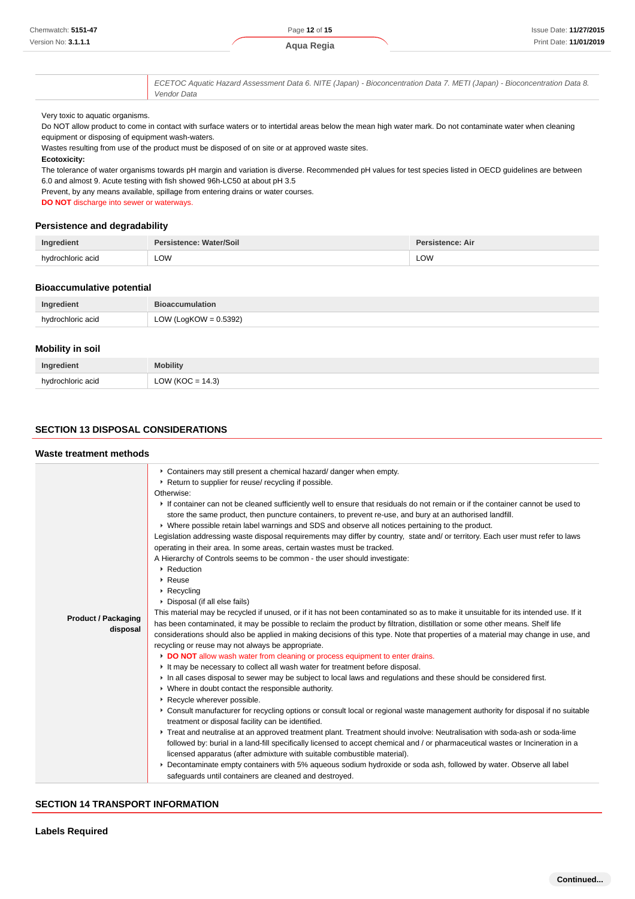#### **Ecotoxicity:**

| Ingredient        | Persistence: Water/Soil | Persistence: Air |
|-------------------|-------------------------|------------------|
| hvdrochloric acid | LOW                     | LOW              |

#### **Bioaccumulative potential**

| Ingredient        | <b>Bioaccumulation</b>   |
|-------------------|--------------------------|
| hydrochloric acid | LOW (LogKOW = $0.5392$ ) |
|                   |                          |

#### **Mobility in soil**

| Ingredient        | <b>Mobility</b>     |
|-------------------|---------------------|
| hvdrochloric acid | LOW (KOC = $14.3$ ) |

# **SECTION 13 DISPOSAL CONSIDERATIONS**

#### **Waste treatment methods**

| Chemwatch: 5151-47                                                                                   | Page 12 of 15                                                                                                                                                                                                                                                                                                                                                                                                                                                                                                                                                                                                                                                                                                                                                                                                                                                                                                                                                                                                                                                                                                                                                                                                                                                                                                                                                                                                                                                                                                                                                                                                                                                                                                                                                                                                                                                                                                                                                                                                                                                                                                                                                                                                                 | <b>Issue Date: 11/27/20</b>                                                                                                      |
|------------------------------------------------------------------------------------------------------|-------------------------------------------------------------------------------------------------------------------------------------------------------------------------------------------------------------------------------------------------------------------------------------------------------------------------------------------------------------------------------------------------------------------------------------------------------------------------------------------------------------------------------------------------------------------------------------------------------------------------------------------------------------------------------------------------------------------------------------------------------------------------------------------------------------------------------------------------------------------------------------------------------------------------------------------------------------------------------------------------------------------------------------------------------------------------------------------------------------------------------------------------------------------------------------------------------------------------------------------------------------------------------------------------------------------------------------------------------------------------------------------------------------------------------------------------------------------------------------------------------------------------------------------------------------------------------------------------------------------------------------------------------------------------------------------------------------------------------------------------------------------------------------------------------------------------------------------------------------------------------------------------------------------------------------------------------------------------------------------------------------------------------------------------------------------------------------------------------------------------------------------------------------------------------------------------------------------------------|----------------------------------------------------------------------------------------------------------------------------------|
| Version No: 3.1.1.1                                                                                  | Aqua Regia                                                                                                                                                                                                                                                                                                                                                                                                                                                                                                                                                                                                                                                                                                                                                                                                                                                                                                                                                                                                                                                                                                                                                                                                                                                                                                                                                                                                                                                                                                                                                                                                                                                                                                                                                                                                                                                                                                                                                                                                                                                                                                                                                                                                                    | Print Date: 11/01/20                                                                                                             |
|                                                                                                      | ECETOC Aquatic Hazard Assessment Data 6. NITE (Japan) - Bioconcentration Data 7. METI (Japan) - Bioconcentration Data 8.                                                                                                                                                                                                                                                                                                                                                                                                                                                                                                                                                                                                                                                                                                                                                                                                                                                                                                                                                                                                                                                                                                                                                                                                                                                                                                                                                                                                                                                                                                                                                                                                                                                                                                                                                                                                                                                                                                                                                                                                                                                                                                      |                                                                                                                                  |
|                                                                                                      | Vendor Data                                                                                                                                                                                                                                                                                                                                                                                                                                                                                                                                                                                                                                                                                                                                                                                                                                                                                                                                                                                                                                                                                                                                                                                                                                                                                                                                                                                                                                                                                                                                                                                                                                                                                                                                                                                                                                                                                                                                                                                                                                                                                                                                                                                                                   |                                                                                                                                  |
| Very toxic to aquatic organisms.<br>equipment or disposing of equipment wash-waters.<br>Ecotoxicity: | Do NOT allow product to come in contact with surface waters or to intertidal areas below the mean high water mark. Do not contaminate water when cleaning<br>Wastes resulting from use of the product must be disposed of on site or at approved waste sites.                                                                                                                                                                                                                                                                                                                                                                                                                                                                                                                                                                                                                                                                                                                                                                                                                                                                                                                                                                                                                                                                                                                                                                                                                                                                                                                                                                                                                                                                                                                                                                                                                                                                                                                                                                                                                                                                                                                                                                 |                                                                                                                                  |
| <b>DO NOT</b> discharge into sewer or waterways.                                                     | The tolerance of water organisms towards pH margin and variation is diverse. Recommended pH values for test species listed in OECD guidelines are between<br>6.0 and almost 9. Acute testing with fish showed 96h-LC50 at about pH 3.5<br>Prevent, by any means available, spillage from entering drains or water courses.                                                                                                                                                                                                                                                                                                                                                                                                                                                                                                                                                                                                                                                                                                                                                                                                                                                                                                                                                                                                                                                                                                                                                                                                                                                                                                                                                                                                                                                                                                                                                                                                                                                                                                                                                                                                                                                                                                    |                                                                                                                                  |
| <b>Persistence and degradability</b>                                                                 |                                                                                                                                                                                                                                                                                                                                                                                                                                                                                                                                                                                                                                                                                                                                                                                                                                                                                                                                                                                                                                                                                                                                                                                                                                                                                                                                                                                                                                                                                                                                                                                                                                                                                                                                                                                                                                                                                                                                                                                                                                                                                                                                                                                                                               |                                                                                                                                  |
| Ingredient                                                                                           | <b>Persistence: Water/Soil</b>                                                                                                                                                                                                                                                                                                                                                                                                                                                                                                                                                                                                                                                                                                                                                                                                                                                                                                                                                                                                                                                                                                                                                                                                                                                                                                                                                                                                                                                                                                                                                                                                                                                                                                                                                                                                                                                                                                                                                                                                                                                                                                                                                                                                | <b>Persistence: Air</b>                                                                                                          |
| hydrochloric acid                                                                                    | LOW                                                                                                                                                                                                                                                                                                                                                                                                                                                                                                                                                                                                                                                                                                                                                                                                                                                                                                                                                                                                                                                                                                                                                                                                                                                                                                                                                                                                                                                                                                                                                                                                                                                                                                                                                                                                                                                                                                                                                                                                                                                                                                                                                                                                                           | LOW                                                                                                                              |
| <b>Bioaccumulative potential</b>                                                                     |                                                                                                                                                                                                                                                                                                                                                                                                                                                                                                                                                                                                                                                                                                                                                                                                                                                                                                                                                                                                                                                                                                                                                                                                                                                                                                                                                                                                                                                                                                                                                                                                                                                                                                                                                                                                                                                                                                                                                                                                                                                                                                                                                                                                                               |                                                                                                                                  |
| Ingredient                                                                                           | <b>Bioaccumulation</b>                                                                                                                                                                                                                                                                                                                                                                                                                                                                                                                                                                                                                                                                                                                                                                                                                                                                                                                                                                                                                                                                                                                                                                                                                                                                                                                                                                                                                                                                                                                                                                                                                                                                                                                                                                                                                                                                                                                                                                                                                                                                                                                                                                                                        |                                                                                                                                  |
| hydrochloric acid                                                                                    | LOW (LogKOW = $0.5392$ )                                                                                                                                                                                                                                                                                                                                                                                                                                                                                                                                                                                                                                                                                                                                                                                                                                                                                                                                                                                                                                                                                                                                                                                                                                                                                                                                                                                                                                                                                                                                                                                                                                                                                                                                                                                                                                                                                                                                                                                                                                                                                                                                                                                                      |                                                                                                                                  |
| <b>Mobility in soil</b>                                                                              |                                                                                                                                                                                                                                                                                                                                                                                                                                                                                                                                                                                                                                                                                                                                                                                                                                                                                                                                                                                                                                                                                                                                                                                                                                                                                                                                                                                                                                                                                                                                                                                                                                                                                                                                                                                                                                                                                                                                                                                                                                                                                                                                                                                                                               |                                                                                                                                  |
| Ingredient                                                                                           | <b>Mobility</b>                                                                                                                                                                                                                                                                                                                                                                                                                                                                                                                                                                                                                                                                                                                                                                                                                                                                                                                                                                                                                                                                                                                                                                                                                                                                                                                                                                                                                                                                                                                                                                                                                                                                                                                                                                                                                                                                                                                                                                                                                                                                                                                                                                                                               |                                                                                                                                  |
| hydrochloric acid                                                                                    | LOW (KOC = $14.3$ )                                                                                                                                                                                                                                                                                                                                                                                                                                                                                                                                                                                                                                                                                                                                                                                                                                                                                                                                                                                                                                                                                                                                                                                                                                                                                                                                                                                                                                                                                                                                                                                                                                                                                                                                                                                                                                                                                                                                                                                                                                                                                                                                                                                                           |                                                                                                                                  |
| Waste treatment methods                                                                              | Containers may still present a chemical hazard/ danger when empty.                                                                                                                                                                                                                                                                                                                                                                                                                                                                                                                                                                                                                                                                                                                                                                                                                                                                                                                                                                                                                                                                                                                                                                                                                                                                                                                                                                                                                                                                                                                                                                                                                                                                                                                                                                                                                                                                                                                                                                                                                                                                                                                                                            |                                                                                                                                  |
| <b>Product / Packaging</b><br>disposal                                                               | ▶ Return to supplier for reuse/ recycling if possible.<br>Otherwise:<br>If container can not be cleaned sufficiently well to ensure that residuals do not remain or if the container cannot be used to<br>store the same product, then puncture containers, to prevent re-use, and bury at an authorised landfill.<br>▶ Where possible retain label warnings and SDS and observe all notices pertaining to the product.<br>Legislation addressing waste disposal requirements may differ by country, state and/ or territory. Each user must refer to laws<br>operating in their area. In some areas, certain wastes must be tracked.<br>A Hierarchy of Controls seems to be common - the user should investigate:<br>▶ Reduction<br>▶ Reuse<br>▶ Recycling<br>▶ Disposal (if all else fails)<br>This material may be recycled if unused, or if it has not been contaminated so as to make it unsuitable for its intended use. If it<br>has been contaminated, it may be possible to reclaim the product by filtration, distillation or some other means. Shelf life<br>considerations should also be applied in making decisions of this type. Note that properties of a material may change in use, and<br>recycling or reuse may not always be appropriate.<br>DO NOT allow wash water from cleaning or process equipment to enter drains.<br>It may be necessary to collect all wash water for treatment before disposal.<br>If In all cases disposal to sewer may be subject to local laws and regulations and these should be considered first.<br>▶ Where in doubt contact the responsible authority.<br>Recycle wherever possible.<br>treatment or disposal facility can be identified.<br>► Treat and neutralise at an approved treatment plant. Treatment should involve: Neutralisation with soda-ash or soda-lime<br>followed by: burial in a land-fill specifically licensed to accept chemical and / or pharmaceutical wastes or Incineration in a<br>licensed apparatus (after admixture with suitable combustible material).<br>▶ Decontaminate empty containers with 5% aqueous sodium hydroxide or soda ash, followed by water. Observe all label<br>safeguards until containers are cleaned and destroyed. | ▶ Consult manufacturer for recycling options or consult local or regional waste management authority for disposal if no suitable |
| SECTION 14 TRANSPORT INFORMATION                                                                     |                                                                                                                                                                                                                                                                                                                                                                                                                                                                                                                                                                                                                                                                                                                                                                                                                                                                                                                                                                                                                                                                                                                                                                                                                                                                                                                                                                                                                                                                                                                                                                                                                                                                                                                                                                                                                                                                                                                                                                                                                                                                                                                                                                                                                               |                                                                                                                                  |
|                                                                                                      |                                                                                                                                                                                                                                                                                                                                                                                                                                                                                                                                                                                                                                                                                                                                                                                                                                                                                                                                                                                                                                                                                                                                                                                                                                                                                                                                                                                                                                                                                                                                                                                                                                                                                                                                                                                                                                                                                                                                                                                                                                                                                                                                                                                                                               |                                                                                                                                  |
| <b>Labels Required</b>                                                                               |                                                                                                                                                                                                                                                                                                                                                                                                                                                                                                                                                                                                                                                                                                                                                                                                                                                                                                                                                                                                                                                                                                                                                                                                                                                                                                                                                                                                                                                                                                                                                                                                                                                                                                                                                                                                                                                                                                                                                                                                                                                                                                                                                                                                                               |                                                                                                                                  |

#### **SECTION 14 TRANSPORT INFORMATION**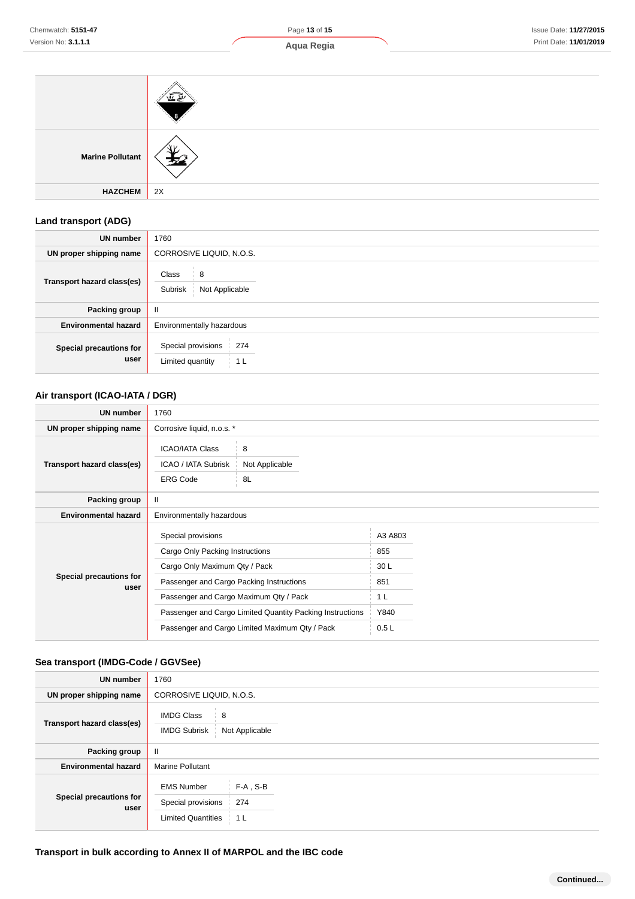| Chemwatch: 5151-47<br>Version No: 3.1.1.1 | Page 13 of 15<br>Aqua Regia | Issue Date: 11/27/2015<br>Print Date: 11/01/2019 |  |
|-------------------------------------------|-----------------------------|--------------------------------------------------|--|
| 应贷                                        |                             |                                                  |  |
| <b>Marine Pollutant</b>                   |                             |                                                  |  |

**Land transport (ADG)**

**HAZCHEM** 2X

 $\pm 2$ 

| $\sim$ $\sim$                   |                                                      |  |
|---------------------------------|------------------------------------------------------|--|
| <b>UN number</b>                | 1760                                                 |  |
| UN proper shipping name         | CORROSIVE LIQUID, N.O.S.                             |  |
| Transport hazard class(es)      | 8<br>Class<br>Subrisk<br>Not Applicable              |  |
| Packing group                   | Ш                                                    |  |
| <b>Environmental hazard</b>     | Environmentally hazardous                            |  |
| Special precautions for<br>user | Special provisions<br>274<br>Limited quantity<br>1 L |  |

# **Air transport (ICAO-IATA / DGR)**

| <b>UN number</b>                | 1760                                                             |                                                           |                |  |
|---------------------------------|------------------------------------------------------------------|-----------------------------------------------------------|----------------|--|
| UN proper shipping name         | Corrosive liquid, n.o.s. *                                       |                                                           |                |  |
| Transport hazard class(es)      | <b>ICAO/IATA Class</b><br>ICAO / IATA Subrisk<br><b>ERG Code</b> | 8<br>Not Applicable<br>8L                                 |                |  |
| Packing group                   | Ш                                                                |                                                           |                |  |
| <b>Environmental hazard</b>     | Environmentally hazardous                                        |                                                           |                |  |
|                                 | Special provisions                                               |                                                           | A3 A803        |  |
|                                 | Cargo Only Packing Instructions                                  |                                                           | 855            |  |
|                                 | Cargo Only Maximum Qty / Pack                                    |                                                           | 30L            |  |
| Special precautions for<br>user | Passenger and Cargo Packing Instructions                         |                                                           | 851            |  |
|                                 | Passenger and Cargo Maximum Qty / Pack                           |                                                           | 1 <sub>L</sub> |  |
|                                 |                                                                  | Passenger and Cargo Limited Quantity Packing Instructions | Y840           |  |
|                                 | Passenger and Cargo Limited Maximum Qty / Pack                   |                                                           | 0.5L           |  |

# **Sea transport (IMDG-Code / GGVSee)**

| <b>UN number</b>                | 1760                                                                                                         |  |  |
|---------------------------------|--------------------------------------------------------------------------------------------------------------|--|--|
| UN proper shipping name         | CORROSIVE LIQUID, N.O.S.                                                                                     |  |  |
| Transport hazard class(es)      | <b>IMDG Class</b><br>8<br><b>IMDG Subrisk</b><br>Not Applicable                                              |  |  |
| Packing group                   | Ш                                                                                                            |  |  |
| <b>Environmental hazard</b>     | <b>Marine Pollutant</b>                                                                                      |  |  |
| Special precautions for<br>user | $F-A$ , S-B<br><b>EMS Number</b><br>Special provisions<br>274<br><b>Limited Quantities</b><br>1 <sub>L</sub> |  |  |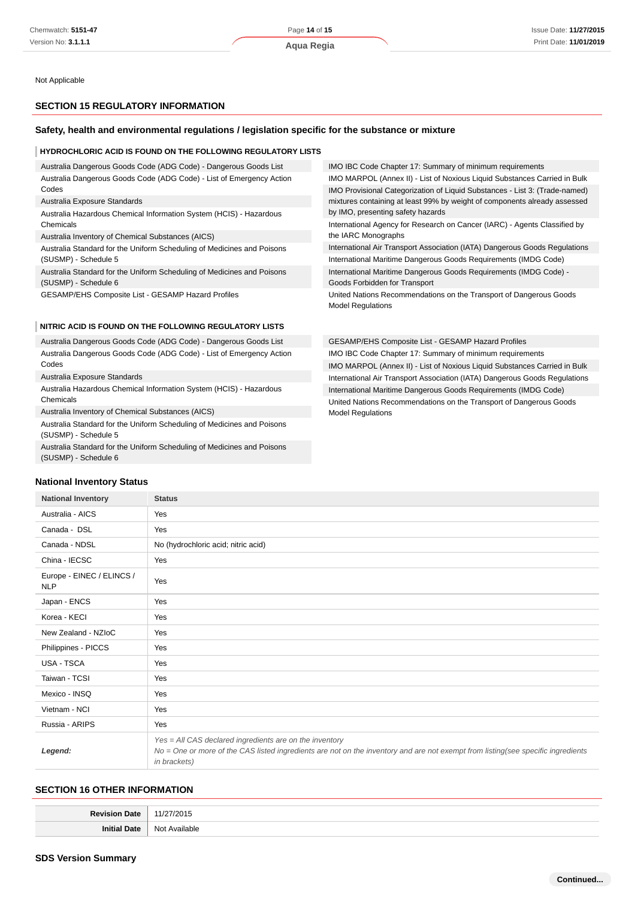Not Applicable

#### **SECTION 15 REGULATORY INFORMATION**

#### **Safety, health and environmental regulations / legislation specific for the substance or mixture**

#### **HYDROCHLORIC ACID IS FOUND ON THE FOLLOWING REGULATORY LISTS**

Australia Dangerous Goods Code (ADG Code) - Dangerous Goods List Australia Dangerous Goods Code (ADG Code) - List of Emergency Action Codes

#### Australia Exposure Standards

Australia Hazardous Chemical Information System (HCIS) - Hazardous Chemicals

Australia Inventory of Chemical Substances (AICS)

Australia Standard for the Uniform Scheduling of Medicines and Poisons (SUSMP) - Schedule 5

Australia Standard for the Uniform Scheduling of Medicines and Poisons (SUSMP) - Schedule 6

GESAMP/EHS Composite List - GESAMP Hazard Profiles

#### **NITRIC ACID IS FOUND ON THE FOLLOWING REGULATORY LISTS**

Australia Dangerous Goods Code (ADG Code) - Dangerous Goods List Australia Dangerous Goods Code (ADG Code) - List of Emergency Action Codes

Australia Exposure Standards

Australia Hazardous Chemical Information System (HCIS) - Hazardous Chemicals

Australia Inventory of Chemical Substances (AICS)

Australia Standard for the Uniform Scheduling of Medicines and Poisons (SUSMP) - Schedule 5

Australia Standard for the Uniform Scheduling of Medicines and Poisons (SUSMP) - Schedule 6

| IMO IBC Code Chapter 17: Summary of minimum requirements                                                                                                                                      |
|-----------------------------------------------------------------------------------------------------------------------------------------------------------------------------------------------|
| IMO MARPOL (Annex II) - List of Noxious Liquid Substances Carried in Bulk                                                                                                                     |
| IMO Provisional Categorization of Liquid Substances - List 3: (Trade-named)<br>mixtures containing at least 99% by weight of components already assessed<br>by IMO, presenting safety hazards |
| International Agency for Research on Cancer (IARC) - Agents Classified by<br>the IARC Monographs                                                                                              |
| International Air Transport Association (IATA) Dangerous Goods Regulations                                                                                                                    |
| International Maritime Dangerous Goods Requirements (IMDG Code)                                                                                                                               |
| International Maritime Dangerous Goods Requirements (IMDG Code) -                                                                                                                             |

Goods Forbidden for Transport United Nations Recommendations on the Transport of Dangerous Goods Model Regulations

GESAMP/EHS Composite List - GESAMP Hazard Profiles IMO IBC Code Chapter 17: Summary of minimum requirements IMO MARPOL (Annex II) - List of Noxious Liquid Substances Carried in Bulk International Air Transport Association (IATA) Dangerous Goods Regulations International Maritime Dangerous Goods Requirements (IMDG Code) United Nations Recommendations on the Transport of Dangerous Goods Model Regulations

#### **National Inventory Status**

| <b>National Inventory</b>               | <b>Status</b>                                                                                                                                                                                               |  |  |
|-----------------------------------------|-------------------------------------------------------------------------------------------------------------------------------------------------------------------------------------------------------------|--|--|
| Australia - AICS                        | Yes                                                                                                                                                                                                         |  |  |
| Canada - DSL                            | Yes                                                                                                                                                                                                         |  |  |
| Canada - NDSL                           | No (hydrochloric acid; nitric acid)                                                                                                                                                                         |  |  |
| China - IECSC                           | Yes                                                                                                                                                                                                         |  |  |
| Europe - EINEC / ELINCS /<br><b>NLP</b> | Yes                                                                                                                                                                                                         |  |  |
| Japan - ENCS                            | Yes                                                                                                                                                                                                         |  |  |
| Korea - KECI                            | Yes                                                                                                                                                                                                         |  |  |
| New Zealand - NZIoC                     | Yes                                                                                                                                                                                                         |  |  |
| Philippines - PICCS                     | Yes                                                                                                                                                                                                         |  |  |
| USA - TSCA                              | Yes                                                                                                                                                                                                         |  |  |
| Taiwan - TCSI                           | Yes                                                                                                                                                                                                         |  |  |
| Mexico - INSQ                           | Yes                                                                                                                                                                                                         |  |  |
| Vietnam - NCI                           | Yes                                                                                                                                                                                                         |  |  |
| Russia - ARIPS                          | Yes                                                                                                                                                                                                         |  |  |
| Legend:                                 | Yes = All CAS declared ingredients are on the inventory<br>No = One or more of the CAS listed ingredients are not on the inventory and are not exempt from listing(see specific ingredients<br>in brackets) |  |  |

#### **SECTION 16 OTHER INFORMATION**

| $T$ or directions.<br>nate | .         |
|----------------------------|-----------|
| Ini                        | Not       |
| )at                        | Available |